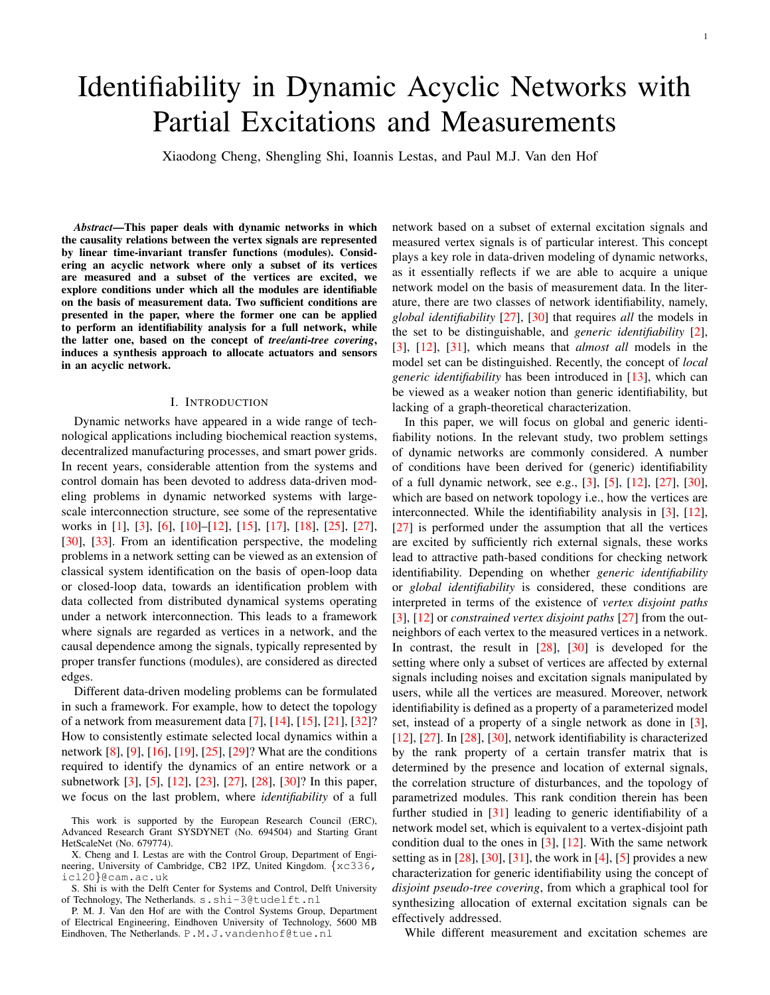# Identifiability in Dynamic Acyclic Networks with Partial Excitations and Measurements

Xiaodong Cheng, Shengling Shi, Ioannis Lestas, and Paul M.J. Van den Hof

*Abstract*—This paper deals with dynamic networks in which the causality relations between the vertex signals are represented by linear time-invariant transfer functions (modules). Considering an acyclic network where only a subset of its vertices are measured and a subset of the vertices are excited, we explore conditions under which all the modules are identifiable on the basis of measurement data. Two sufficient conditions are presented in the paper, where the former one can be applied to perform an identifiability analysis for a full network, while the latter one, based on the concept of *tree/anti-tree covering*, induces a synthesis approach to allocate actuators and sensors in an acyclic network.

#### I. INTRODUCTION

Dynamic networks have appeared in a wide range of technological applications including biochemical reaction systems, decentralized manufacturing processes, and smart power grids. In recent years, considerable attention from the systems and control domain has been devoted to address data-driven modeling problems in dynamic networked systems with largescale interconnection structure, see some of the representative works in [\[1\]](#page-12-0), [\[3\]](#page-13-0), [\[6\]](#page-13-1), [\[10\]](#page-13-2)–[\[12\]](#page-13-3), [\[15\]](#page-13-4), [\[17\]](#page-13-5), [\[18\]](#page-13-6), [\[25\]](#page-13-7), [\[27\]](#page-13-8), [\[30\]](#page-13-9), [\[33\]](#page-13-10). From an identification perspective, the modeling problems in a network setting can be viewed as an extension of classical system identification on the basis of open-loop data or closed-loop data, towards an identification problem with data collected from distributed dynamical systems operating under a network interconnection. This leads to a framework where signals are regarded as vertices in a network, and the causal dependence among the signals, typically represented by proper transfer functions (modules), are considered as directed edges.

Different data-driven modeling problems can be formulated in such a framework. For example, how to detect the topology of a network from measurement data [\[7\]](#page-13-11), [\[14\]](#page-13-12), [\[15\]](#page-13-4), [\[21\]](#page-13-13), [\[32\]](#page-13-14)? How to consistently estimate selected local dynamics within a network [\[8\]](#page-13-15), [\[9\]](#page-13-16), [\[16\]](#page-13-17), [\[19\]](#page-13-18), [\[25\]](#page-13-7), [\[29\]](#page-13-19)? What are the conditions required to identify the dynamics of an entire network or a subnetwork [\[3\]](#page-13-0), [\[5\]](#page-13-20), [\[12\]](#page-13-3), [\[23\]](#page-13-21), [\[27\]](#page-13-8), [\[28\]](#page-13-22), [\[30\]](#page-13-9)? In this paper, we focus on the last problem, where *identifiability* of a full

network based on a subset of external excitation signals and measured vertex signals is of particular interest. This concept plays a key role in data-driven modeling of dynamic networks, as it essentially reflects if we are able to acquire a unique network model on the basis of measurement data. In the literature, there are two classes of network identifiability, namely, *global identifiability* [\[27\]](#page-13-8), [\[30\]](#page-13-9) that requires *all* the models in the set to be distinguishable, and *generic identifiability* [\[2\]](#page-12-1), [\[3\]](#page-13-0), [\[12\]](#page-13-3), [\[31\]](#page-13-23), which means that *almost all* models in the model set can be distinguished. Recently, the concept of *local generic identifiability* has been introduced in [\[13\]](#page-13-24), which can be viewed as a weaker notion than generic identifiability, but lacking of a graph-theoretical characterization.

In this paper, we will focus on global and generic identifiability notions. In the relevant study, two problem settings of dynamic networks are commonly considered. A number of conditions have been derived for (generic) identifiability of a full dynamic network, see e.g., [\[3\]](#page-13-0), [\[5\]](#page-13-20), [\[12\]](#page-13-3), [\[27\]](#page-13-8), [\[30\]](#page-13-9), which are based on network topology i.e., how the vertices are interconnected. While the identifiability analysis in [\[3\]](#page-13-0), [\[12\]](#page-13-3), [\[27\]](#page-13-8) is performed under the assumption that all the vertices are excited by sufficiently rich external signals, these works lead to attractive path-based conditions for checking network identifiability. Depending on whether *generic identifiability* or *global identifiability* is considered, these conditions are interpreted in terms of the existence of *vertex disjoint paths* [\[3\]](#page-13-0), [\[12\]](#page-13-3) or *constrained vertex disjoint paths* [\[27\]](#page-13-8) from the outneighbors of each vertex to the measured vertices in a network. In contrast, the result in [\[28\]](#page-13-22), [\[30\]](#page-13-9) is developed for the setting where only a subset of vertices are affected by external signals including noises and excitation signals manipulated by users, while all the vertices are measured. Moreover, network identifiability is defined as a property of a parameterized model set, instead of a property of a single network as done in [\[3\]](#page-13-0), [\[12\]](#page-13-3), [\[27\]](#page-13-8). In [\[28\]](#page-13-22), [\[30\]](#page-13-9), network identifiability is characterized by the rank property of a certain transfer matrix that is determined by the presence and location of external signals, the correlation structure of disturbances, and the topology of parametrized modules. This rank condition therein has been further studied in [\[31\]](#page-13-23) leading to generic identifiability of a network model set, which is equivalent to a vertex-disjoint path condition dual to the ones in  $[3]$ ,  $[12]$ . With the same network setting as in  $[28]$ ,  $[30]$ ,  $[31]$ , the work in  $[4]$ ,  $[5]$  provides a new characterization for generic identifiability using the concept of *disjoint pseudo-tree covering*, from which a graphical tool for synthesizing allocation of external excitation signals can be effectively addressed.

While different measurement and excitation schemes are

This work is supported by the European Research Council (ERC), Advanced Research Grant SYSDYNET (No. 694504) and Starting Grant HetScaleNet (No. 679774).

X. Cheng and I. Lestas are with the Control Group, Department of Engineering, University of Cambridge, CB2 1PZ, United Kingdom. {xc336, icl20}@cam.ac.uk

S. Shi is with the Delft Center for Systems and Control, Delft University of Technology, The Netherlands. s.shi-3@tudelft.nl

P. M. J. Van den Hof are with the Control Systems Group, Department of Electrical Engineering, Eindhoven University of Technology, 5600 MB Eindhoven, The Netherlands. P.M.J.vandenhof@tue.nl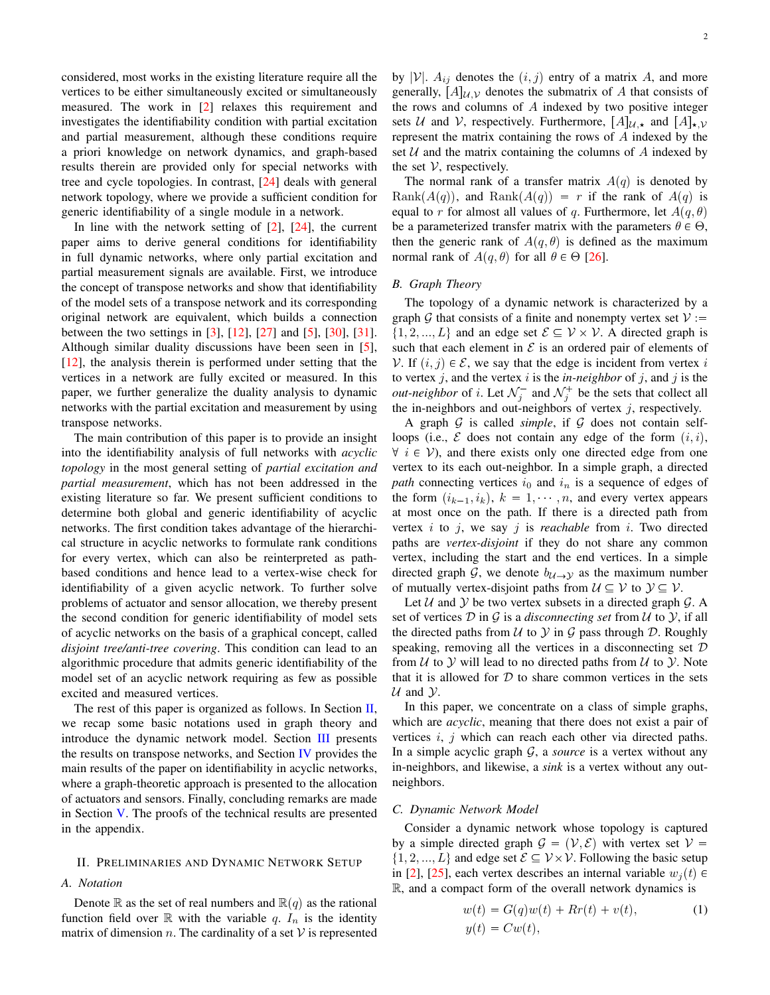considered, most works in the existing literature require all the vertices to be either simultaneously excited or simultaneously measured. The work in [\[2\]](#page-12-1) relaxes this requirement and investigates the identifiability condition with partial excitation and partial measurement, although these conditions require a priori knowledge on network dynamics, and graph-based results therein are provided only for special networks with tree and cycle topologies. In contrast, [\[24\]](#page-13-26) deals with general network topology, where we provide a sufficient condition for generic identifiability of a single module in a network.

In line with the network setting of  $[2]$ ,  $[24]$ , the current paper aims to derive general conditions for identifiability in full dynamic networks, where only partial excitation and partial measurement signals are available. First, we introduce the concept of transpose networks and show that identifiability of the model sets of a transpose network and its corresponding original network are equivalent, which builds a connection between the two settings in [\[3\]](#page-13-0), [\[12\]](#page-13-3), [\[27\]](#page-13-8) and [\[5\]](#page-13-20), [\[30\]](#page-13-9), [\[31\]](#page-13-23). Although similar duality discussions have been seen in [\[5\]](#page-13-20), [\[12\]](#page-13-3), the analysis therein is performed under setting that the vertices in a network are fully excited or measured. In this paper, we further generalize the duality analysis to dynamic networks with the partial excitation and measurement by using transpose networks.

The main contribution of this paper is to provide an insight into the identifiability analysis of full networks with *acyclic topology* in the most general setting of *partial excitation and partial measurement*, which has not been addressed in the existing literature so far. We present sufficient conditions to determine both global and generic identifiability of acyclic networks. The first condition takes advantage of the hierarchical structure in acyclic networks to formulate rank conditions for every vertex, which can also be reinterpreted as pathbased conditions and hence lead to a vertex-wise check for identifiability of a given acyclic network. To further solve problems of actuator and sensor allocation, we thereby present the second condition for generic identifiability of model sets of acyclic networks on the basis of a graphical concept, called *disjoint tree/anti-tree covering*. This condition can lead to an algorithmic procedure that admits generic identifiability of the model set of an acyclic network requiring as few as possible excited and measured vertices.

The rest of this paper is organized as follows. In Section  $II$ , we recap some basic notations used in graph theory and introduce the dynamic network model. Section [III](#page-2-0) presents the results on transpose networks, and Section [IV](#page-3-0) provides the main results of the paper on identifiability in acyclic networks, where a graph-theoretic approach is presented to the allocation of actuators and sensors. Finally, concluding remarks are made in Section [V.](#page-9-0) The proofs of the technical results are presented in the appendix.

#### <span id="page-1-0"></span>II. PRELIMINARIES AND DYNAMIC NETWORK SETUP

# *A. Notation*

Denote R as the set of real numbers and  $\mathbb{R}(q)$  as the rational function field over  $\mathbb R$  with the variable q.  $I_n$  is the identity matrix of dimension n. The cardinality of a set  $V$  is represented by  $|V|$ .  $A_{ij}$  denotes the  $(i, j)$  entry of a matrix A, and more generally,  $[A]_{U,V}$  denotes the submatrix of A that consists of the rows and columns of A indexed by two positive integer sets U and V, respectively. Furthermore,  $[A]_{U,\star}$  and  $[A]_{\star,V}$ represent the matrix containing the rows of A indexed by the set  $U$  and the matrix containing the columns of  $A$  indexed by the set  $V$ , respectively.

The normal rank of a transfer matrix  $A(q)$  is denoted by Rank $(A(q))$ , and Rank $(A(q)) = r$  if the rank of  $A(q)$  is equal to r for almost all values of q. Furthermore, let  $A(q, \theta)$ be a parameterized transfer matrix with the parameters  $\theta \in \Theta$ , then the generic rank of  $A(q, \theta)$  is defined as the maximum normal rank of  $A(q, \theta)$  for all  $\theta \in \Theta$  [\[26\]](#page-13-27).

#### *B. Graph Theory*

The topology of a dynamic network is characterized by a graph G that consists of a finite and nonempty vertex set  $V :=$  $\{1, 2, ..., L\}$  and an edge set  $\mathcal{E} \subseteq \mathcal{V} \times \mathcal{V}$ . A directed graph is such that each element in  $\mathcal E$  is an ordered pair of elements of V. If  $(i, j) \in \mathcal{E}$ , we say that the edge is incident from vertex i to vertex  $j$ , and the vertex  $i$  is the *in-neighbor* of  $j$ , and  $j$  is the *out-neighbor* of *i*. Let  $\mathcal{N}_j^-$  and  $\mathcal{N}_j^+$  be the sets that collect all the in-neighbors and out-neighbors of vertex  $j$ , respectively.

A graph  $G$  is called *simple*, if  $G$  does not contain selfloops (i.e.,  $\mathcal E$  does not contain any edge of the form  $(i, i)$ ,  $\forall i \in V$ ), and there exists only one directed edge from one vertex to its each out-neighbor. In a simple graph, a directed *path* connecting vertices  $i_0$  and  $i_n$  is a sequence of edges of the form  $(i_{k-1}, i_k)$ ,  $k = 1, \dots, n$ , and every vertex appears at most once on the path. If there is a directed path from vertex i to j, we say j is *reachable* from i. Two directed paths are *vertex-disjoint* if they do not share any common vertex, including the start and the end vertices. In a simple directed graph G, we denote  $b_{\mathcal{U}\rightarrow\mathcal{Y}}$  as the maximum number of mutually vertex-disjoint paths from  $\mathcal{U} \subseteq \mathcal{V}$  to  $\mathcal{Y} \subseteq \mathcal{V}$ .

Let  $U$  and  $Y$  be two vertex subsets in a directed graph  $G$ . A set of vertices D in G is a *disconnecting set* from U to Y, if all the directed paths from  $U$  to  $Y$  in  $G$  pass through  $D$ . Roughly speaking, removing all the vertices in a disconnecting set  $D$ from  $U$  to  $Y$  will lead to no directed paths from  $U$  to  $Y$ . Note that it is allowed for  $D$  to share common vertices in the sets  $U$  and  $Y$ .

In this paper, we concentrate on a class of simple graphs, which are *acyclic*, meaning that there does not exist a pair of vertices  $i, j$  which can reach each other via directed paths. In a simple acyclic graph G, a *source* is a vertex without any in-neighbors, and likewise, a *sink* is a vertex without any outneighbors.

# *C. Dynamic Network Model*

Consider a dynamic network whose topology is captured by a simple directed graph  $G = (V, E)$  with vertex set  $V =$  $\{1, 2, ..., L\}$  and edge set  $\mathcal{E} \subseteq \mathcal{V} \times \mathcal{V}$ . Following the basic setup in [\[2\]](#page-12-1), [\[25\]](#page-13-7), each vertex describes an internal variable  $w_i(t) \in$ R, and a compact form of the overall network dynamics is

<span id="page-1-1"></span>
$$
w(t) = G(q)w(t) + Rr(t) + v(t),
$$
  
\n
$$
y(t) = Cw(t),
$$
\n(1)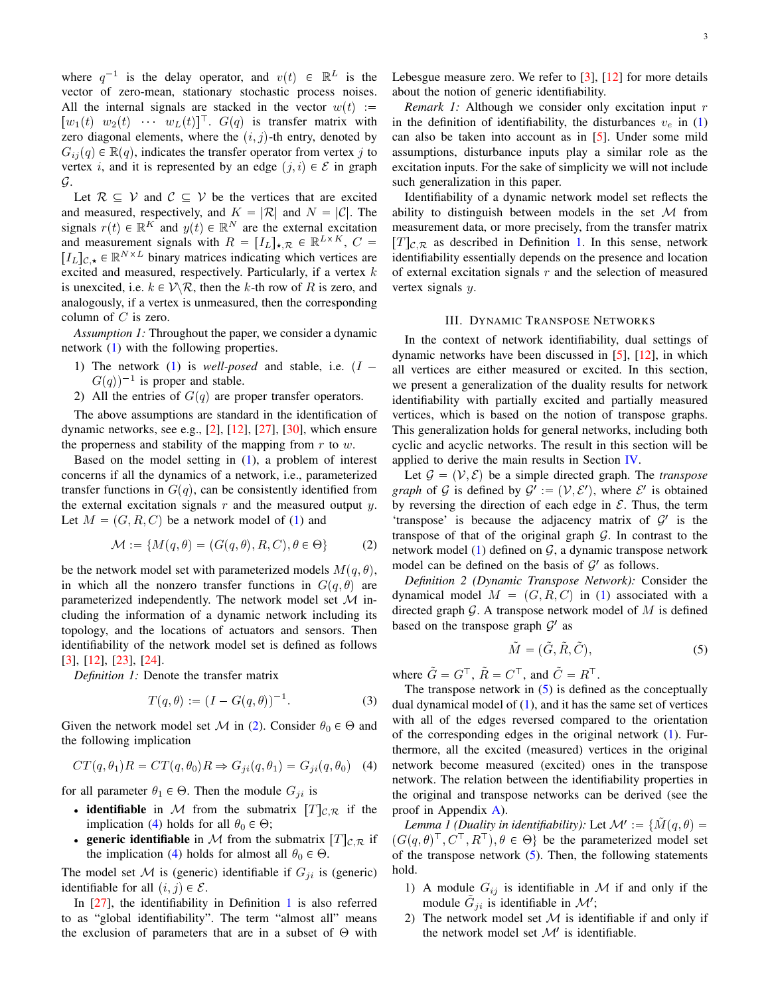where  $q^{-1}$  is the delay operator, and  $v(t) \in \mathbb{R}^L$  is the vector of zero-mean, stationary stochastic process noises. All the internal signals are stacked in the vector  $w(t) :=$  $[w_1(t)$   $w_2(t)$   $w_L(t)]$ .  $G(q)$  is transfer matrix with zero diagonal elements, where the  $(i, j)$ -th entry, denoted by  $G_{ij}(q) \in \mathbb{R}(q)$ , indicates the transfer operator from vertex j to vertex *i*, and it is represented by an edge  $(j, i) \in \mathcal{E}$  in graph G.

Let  $\mathcal{R} \subseteq \mathcal{V}$  and  $\mathcal{C} \subseteq \mathcal{V}$  be the vertices that are excited and measured, respectively, and  $K = |\mathcal{R}|$  and  $N = |\mathcal{C}|$ . The signals  $r(t) \in \mathbb{R}^K$  and  $y(t) \in \mathbb{R}^N$  are the external excitation and measurement signals with  $R = [I_L]_{\star,\mathcal{R}} \in \mathbb{R}^{L \times K}$ ,  $C =$  $[I_L]_{C, \star} \in \mathbb{R}^{N \times L}$  binary matrices indicating which vertices are excited and measured, respectively. Particularly, if a vertex  $k$ is unexcited, i.e.  $k \in \mathcal{V} \backslash \mathcal{R}$ , then the k-th row of R is zero, and analogously, if a vertex is unmeasured, then the corresponding column of  $C$  is zero.

<span id="page-2-7"></span>*Assumption 1:* Throughout the paper, we consider a dynamic network [\(1\)](#page-1-1) with the following properties.

- 1) The network [\(1\)](#page-1-1) is *well-posed* and stable, i.e.  $(I G(q)$ <sup>-1</sup> is proper and stable.
- 2) All the entries of  $G(q)$  are proper transfer operators.

The above assumptions are standard in the identification of dynamic networks, see e.g.,  $[2]$ ,  $[12]$ ,  $[27]$ ,  $[30]$ , which ensure the properness and stability of the mapping from  $r$  to  $w$ .

Based on the model setting in [\(1\)](#page-1-1), a problem of interest concerns if all the dynamics of a network, i.e., parameterized transfer functions in  $G(q)$ , can be consistently identified from the external excitation signals  $r$  and the measured output  $y$ . Let  $M = (G, R, C)$  be a network model of [\(1\)](#page-1-1) and

<span id="page-2-1"></span>
$$
\mathcal{M} := \{ M(q, \theta) = (G(q, \theta), R, C), \theta \in \Theta \}
$$
 (2)

be the network model set with parameterized models  $M(q, \theta)$ , in which all the nonzero transfer functions in  $G(q, \theta)$  are parameterized independently. The network model set  $\mathcal M$  including the information of a dynamic network including its topology, and the locations of actuators and sensors. Then identifiability of the network model set is defined as follows [\[3\]](#page-13-0), [\[12\]](#page-13-3), [\[23\]](#page-13-21), [\[24\]](#page-13-26).

*Definition 1:* Denote the transfer matrix

<span id="page-2-6"></span><span id="page-2-3"></span>
$$
T(q, \theta) := (I - G(q, \theta))^{-1}.
$$
 (3)

Given the network model set M in [\(2\)](#page-2-1). Consider  $\theta_0 \in \Theta$  and the following implication

$$
CT(q, \theta_1)R = CT(q, \theta_0)R \Rightarrow G_{ji}(q, \theta_1) = G_{ji}(q, \theta_0)
$$
 (4)

for all parameter  $\theta_1 \in \Theta$ . Then the module  $G_{ji}$  is

- identifiable in M from the submatrix  $[T]_{\mathcal{C},\mathcal{R}}$  if the implication [\(4\)](#page-2-2) holds for all  $\theta_0 \in \Theta$ ;
- **generic identifiable** in M from the submatrix  $[T]_{\mathcal{C},\mathcal{R}}$  if the implication [\(4\)](#page-2-2) holds for almost all  $\theta_0 \in \Theta$ .

The model set  $M$  is (generic) identifiable if  $G_{ji}$  is (generic) identifiable for all  $(i, j) \in \mathcal{E}$ .

In [\[27\]](#page-13-8), the identifiability in Definition [1](#page-2-3) is also referred to as "global identifiability". The term "almost all" means the exclusion of parameters that are in a subset of  $\Theta$  with Lebesgue measure zero. We refer to [\[3\]](#page-13-0), [\[12\]](#page-13-3) for more details about the notion of generic identifiability.

*Remark 1:* Although we consider only excitation input r in the definition of identifiability, the disturbances  $v_e$  in [\(1\)](#page-1-1) can also be taken into account as in [\[5\]](#page-13-20). Under some mild assumptions, disturbance inputs play a similar role as the excitation inputs. For the sake of simplicity we will not include such generalization in this paper.

Identifiability of a dynamic network model set reflects the ability to distinguish between models in the set  $\mathcal M$  from measurement data, or more precisely, from the transfer matrix  $[T]_{\mathcal{C},\mathcal{R}}$  as described in Definition [1.](#page-2-3) In this sense, network identifiability essentially depends on the presence and location of external excitation signals  $r$  and the selection of measured vertex signals y.

#### III. DYNAMIC TRANSPOSE NETWORKS

<span id="page-2-0"></span>In the context of network identifiability, dual settings of dynamic networks have been discussed in [\[5\]](#page-13-20), [\[12\]](#page-13-3), in which all vertices are either measured or excited. In this section, we present a generalization of the duality results for network identifiability with partially excited and partially measured vertices, which is based on the notion of transpose graphs. This generalization holds for general networks, including both cyclic and acyclic networks. The result in this section will be applied to derive the main results in Section [IV.](#page-3-0)

Let  $\mathcal{G} = (\mathcal{V}, \mathcal{E})$  be a simple directed graph. The *transpose graph* of G is defined by  $\mathcal{G}' := (\mathcal{V}, \mathcal{E}')$ , where  $\mathcal{E}'$  is obtained by reversing the direction of each edge in  $\mathcal{E}$ . Thus, the term 'transpose' is because the adjacency matrix of  $G'$  is the transpose of that of the original graph  $G$ . In contrast to the network model [\(1\)](#page-1-1) defined on  $G$ , a dynamic transpose network model can be defined on the basis of  $\mathcal{G}'$  as follows.

*Definition 2 (Dynamic Transpose Network):* Consider the dynamical model  $M = (G, R, C)$  in [\(1\)](#page-1-1) associated with a directed graph  $\mathcal G$ . A transpose network model of  $M$  is defined based on the transpose graph  $\mathcal{G}'$  as

<span id="page-2-4"></span>
$$
\tilde{M} = (\tilde{G}, \tilde{R}, \tilde{C}),\tag{5}
$$

where  $\tilde{G} = G^{\top}$ ,  $\tilde{R} = C^{\top}$ , and  $\tilde{C} = R^{\top}$ .

The transpose network in  $(5)$  is defined as the conceptually dual dynamical model of  $(1)$ , and it has the same set of vertices with all of the edges reversed compared to the orientation of the corresponding edges in the original network [\(1\)](#page-1-1). Furthermore, all the excited (measured) vertices in the original network become measured (excited) ones in the transpose network. The relation between the identifiability properties in the original and transpose networks can be derived (see the proof in Appendix [A\)](#page-9-1).

<span id="page-2-5"></span><span id="page-2-2"></span>*Lemma 1 (Duality in identifiability):* Let  $\mathcal{M}' := \{ \tilde{M}(q, \theta) =$  $(G(q, \theta)^\top, C^\top, R^\top)$ ,  $\theta \in \Theta$  be the parameterized model set of the transpose network  $(5)$ . Then, the following statements hold.

- 1) A module  $G_{ij}$  is identifiable in M if and only if the module  $\tilde{G}_{ji}$  is identifiable in  $\mathcal{M}'$ ;
- 2) The network model set  $M$  is identifiable if and only if the network model set  $\mathcal{M}'$  is identifiable.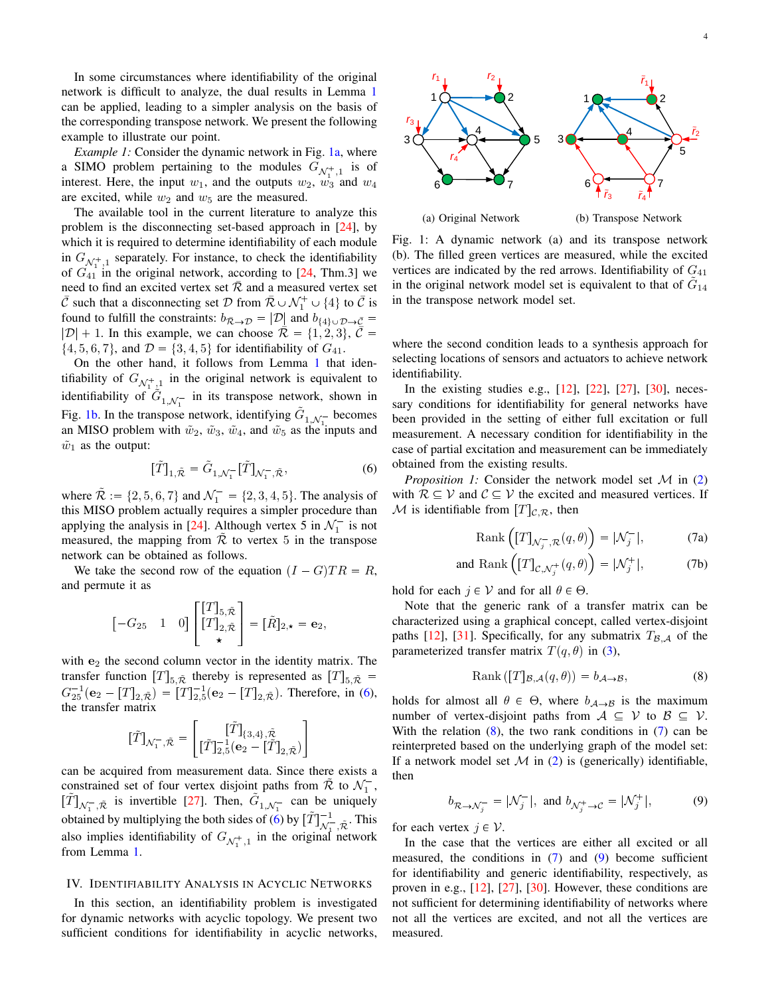In some circumstances where identifiability of the original network is difficult to analyze, the dual results in Lemma [1](#page-2-5) can be applied, leading to a simpler analysis on the basis of the corresponding transpose network. We present the following example to illustrate our point.

*Example 1:* Consider the dynamic network in Fig. [1a,](#page-3-1) where a SIMO problem pertaining to the modules  $G_{\mathcal{N}_{1}^{+},1}$  is of interest. Here, the input  $w_1$ , and the outputs  $w_2$ ,  $w_3$  and  $w_4$ are excited, while  $w_2$  and  $w_5$  are the measured.

The available tool in the current literature to analyze this problem is the disconnecting set-based approach in [\[24\]](#page-13-26), by which it is required to determine identifiability of each module in  $G_{\mathcal{N}_1^+,\mathbb{1}}$  separately. For instance, to check the identifiability of  $G_{41}^{N_1}$  in the original network, according to [\[24,](#page-13-26) Thm.3] we need to find an excited vertex set  $\overline{\mathcal{R}}$  and a measured vertex set  $\bar{\mathcal{C}}$  such that a disconnecting set  $\mathcal{D}$  from  $\bar{\mathcal{R}} \cup \mathcal{N}_1^+ \cup \{4\}$  to  $\bar{\mathcal{C}}$  is found to fulfill the constraints:  $b_{\bar{\mathcal{R}} \to \mathcal{D}} = |\mathcal{D}|$  and  $b_{\{4\} \cup \mathcal{D} \to \bar{\mathcal{C}}}$  $|\mathcal{D}| + 1$ . In this example, we can choose  $\overline{\mathcal{R}} = \{1, 2, 3\}, \overline{\mathcal{C}} =$  $\{4, 5, 6, 7\}$ , and  $\mathcal{D} = \{3, 4, 5\}$  for identifiability of  $G_{41}$ .

On the other hand, it follows from Lemma [1](#page-2-5) that identifiability of  $G_{\mathcal{N}_{12}^+1}$  in the original network is equivalent to identifiability of  $\tilde{G}_{1, \mathcal{N}_1^-}$  in its transpose network, shown in Fig. [1b.](#page-3-1) In the transpose network, identifying  $\tilde{G}_{1,N_1^-}$  becomes an MISO problem with  $\tilde{w}_2$ ,  $\tilde{w}_3$ ,  $\tilde{w}_4$ , and  $\tilde{w}_5$  as the inputs and  $\tilde{w}_1$  as the output:

<span id="page-3-2"></span>
$$
[\tilde{T}]_{1,\tilde{\mathcal{R}}} = \tilde{G}_{1,\mathcal{N}_1^-}[\tilde{T}]_{\mathcal{N}_1^-,\tilde{\mathcal{R}}},\tag{6}
$$

where  $\tilde{\mathcal{R}} := \{2, 5, 6, 7\}$  and  $\mathcal{N}_1^- = \{2, 3, 4, 5\}$ . The analysis of this MISO problem actually requires a simpler procedure than applying the analysis in [\[24\]](#page-13-26). Although vertex 5 in  $\mathcal{N}_1^-$  is not measured, the mapping from  $R$  to vertex 5 in the transpose network can be obtained as follows.

We take the second row of the equation  $(I - G)TR = R$ , and permute it as

$$
\begin{bmatrix} -G_{25} & 1 & 0 \end{bmatrix} \begin{bmatrix} [T]_{5,\tilde{\mathcal{R}}}\\ [T]_{2,\tilde{\mathcal{R}}}\\ \star \end{bmatrix} = [\tilde{R}]_{2,\star} = \mathbf{e}_2,
$$

with  $e_2$  the second column vector in the identity matrix. The transfer function  $[T]_{5,\tilde{\mathcal{R}}}$  thereby is represented as  $[T]_{5,\tilde{\mathcal{R}}}$  =  $G_{25}^{-1}(\mathbf{e}_2 - [T]_{2,\tilde{\mathcal{R}}}) = [T]_{2,5}^{-1}(\mathbf{e}_2 - [T]_{2,\tilde{\mathcal{R}}})$ . Therefore, in [\(6\)](#page-3-2), the transfer matrix

$$
\tilde{[T]}_{\mathcal{N}_1^-,\tilde{\mathcal{R}}} = \begin{bmatrix} [\tilde{T}]_{\{3,4\},\tilde{\mathcal{R}}}\\ [\tilde{T}]_{2,5}^{-1}(\mathbf{e}_2 - [\tilde{T}]_{2,\tilde{\mathcal{R}}}) \end{bmatrix}
$$

can be acquired from measurement data. Since there exists a constrained set of four vertex disjoint paths from  $\tilde{\mathcal{R}}$  to  $\mathcal{N}_1^-$ ,  $[\tilde{T}]_{\mathcal{N}_1^-,\tilde{\mathcal{R}}}$  is invertible [\[27\]](#page-13-8). Then,  $\tilde{G}_{1,\mathcal{N}_1^-}$  can be uniquely obtained by multiplying the both sides of  $\left(6\right)$  by  $\left[\tilde{T}\right]_{\Lambda}^{-1}$  $\overline{\mathcal{N}}_{1}^{-}, \tilde{\mathcal{R}}$ . This also implies identifiability of  $G_{\mathcal{N}_1^+,\mathbf{1}}$  in the original network from Lemma [1.](#page-2-5)

# <span id="page-3-0"></span>IV. IDENTIFIABILITY ANALYSIS IN ACYCLIC NETWORKS

In this section, an identifiability problem is investigated for dynamic networks with acyclic topology. We present two sufficient conditions for identifiability in acyclic networks,

<span id="page-3-1"></span>

Fig. 1: A dynamic network (a) and its transpose network (b). The filled green vertices are measured, while the excited vertices are indicated by the red arrows. Identifiability of  $G_{41}$ in the original network model set is equivalent to that of  $\tilde{G}_{14}$ in the transpose network model set.

where the second condition leads to a synthesis approach for selecting locations of sensors and actuators to achieve network identifiability.

In the existing studies e.g., [\[12\]](#page-13-3), [\[22\]](#page-13-28), [\[27\]](#page-13-8), [\[30\]](#page-13-9), necessary conditions for identifiability for general networks have been provided in the setting of either full excitation or full measurement. A necessary condition for identifiability in the case of partial excitation and measurement can be immediately obtained from the existing results.

<span id="page-3-6"></span>*Proposition 1:* Consider the network model set M in [\(2\)](#page-2-1) with  $R \subseteq V$  and  $C \subseteq V$  the excited and measured vertices. If M is identifiable from  $[T]_{\mathcal{C},\mathcal{R}}$ , then

<span id="page-3-4"></span>
$$
Rank\left([T]_{\mathcal{N}_j^-,\mathcal{R}}(q,\theta)\right) = |\mathcal{N}_j^-|,\tag{7a}
$$

and Rank 
$$
\left( [T]_{C,\mathcal{N}_j^+}(q,\theta) \right) = |\mathcal{N}_j^+|,
$$
 (7b)

hold for each  $j \in V$  and for all  $\theta \in \Theta$ .

Note that the generic rank of a transfer matrix can be characterized using a graphical concept, called vertex-disjoint paths [\[12\]](#page-13-3), [\[31\]](#page-13-23). Specifically, for any submatrix  $T_{\beta,\mathcal{A}}$  of the parameterized transfer matrix  $T(q, \theta)$  in [\(3\)](#page-2-6),

<span id="page-3-3"></span>
$$
Rank ([T]_{\mathcal{B},\mathcal{A}}(q,\theta)) = b_{\mathcal{A}\to\mathcal{B}},
$$
\n(8)

holds for almost all  $\theta \in \Theta$ , where  $b_{A\rightarrow B}$  is the maximum number of vertex-disjoint paths from  $A \subseteq V$  to  $B \subseteq V$ . With the relation  $(8)$ , the two rank conditions in  $(7)$  can be reinterpreted based on the underlying graph of the model set: If a network model set  $M$  in [\(2\)](#page-2-1) is (generically) identifiable, then

<span id="page-3-5"></span>
$$
b_{\mathcal{R}\to\mathcal{N}_j^-} = |\mathcal{N}_j^-|, \text{ and } b_{\mathcal{N}_j^+\to\mathcal{C}} = |\mathcal{N}_j^+|,\tag{9}
$$

for each vertex  $j \in \mathcal{V}$ .

In the case that the vertices are either all excited or all measured, the conditions in  $(7)$  and  $(9)$  become sufficient for identifiability and generic identifiability, respectively, as proven in e.g., [\[12\]](#page-13-3), [\[27\]](#page-13-8), [\[30\]](#page-13-9). However, these conditions are not sufficient for determining identifiability of networks where not all the vertices are excited, and not all the vertices are measured.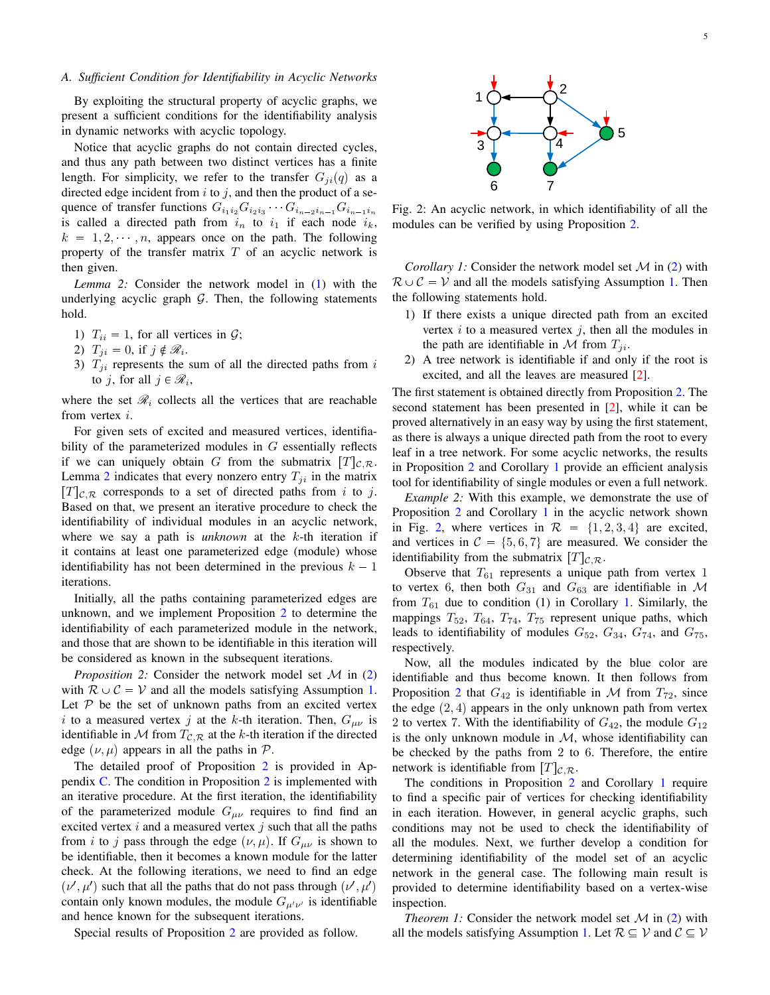# *A. Sufficient Condition for Identifiability in Acyclic Networks*

By exploiting the structural property of acyclic graphs, we present a sufficient conditions for the identifiability analysis in dynamic networks with acyclic topology.

Notice that acyclic graphs do not contain directed cycles, and thus any path between two distinct vertices has a finite length. For simplicity, we refer to the transfer  $G_{ii}(q)$  as a directed edge incident from  $i$  to  $j$ , and then the product of a sequence of transfer functions  $G_{i_1 i_2} G_{i_2 i_3} \cdots G_{i_{n-2} i_{n-1}} G_{i_{n-1} i_n}$ is called a directed path from  $i_n$  to  $i_1$  if each node  $i_k$ ,  $k = 1, 2, \dots, n$ , appears once on the path. The following property of the transfer matrix  $T$  of an acyclic network is then given.

<span id="page-4-0"></span>*Lemma 2:* Consider the network model in [\(1\)](#page-1-1) with the underlying acyclic graph  $G$ . Then, the following statements hold.

- 1)  $T_{ii} = 1$ , for all vertices in  $\mathcal{G}$ ;
- 2)  $T_{ji} = 0$ , if  $j \notin \mathcal{R}_i$ .
- 3)  $T_{ji}$  represents the sum of all the directed paths from i to *j*, for all  $j \in \mathcal{R}_i$ ,

where the set  $\mathcal{R}_i$  collects all the vertices that are reachable from vertex i.

For given sets of excited and measured vertices, identifiability of the parameterized modules in  $G$  essentially reflects if we can uniquely obtain G from the submatrix  $[T]_{\mathcal{C},\mathcal{R}}$ . Lemma [2](#page-4-0) indicates that every nonzero entry  $T_{ji}$  in the matrix  $[T]_{\mathcal{C},\mathcal{R}}$  corresponds to a set of directed paths from i to j. Based on that, we present an iterative procedure to check the identifiability of individual modules in an acyclic network, where we say a path is *unknown* at the k-th iteration if it contains at least one parameterized edge (module) whose identifiability has not been determined in the previous  $k - 1$ iterations.

Initially, all the paths containing parameterized edges are unknown, and we implement Proposition [2](#page-4-1) to determine the identifiability of each parameterized module in the network, and those that are shown to be identifiable in this iteration will be considered as known in the subsequent iterations.

<span id="page-4-1"></span>*Proposition 2:* Consider the network model set M in [\(2\)](#page-2-1) with  $\mathcal{R} \cup \mathcal{C} = \mathcal{V}$  and all the models satisfying Assumption [1.](#page-2-7) Let  $P$  be the set of unknown paths from an excited vertex i to a measured vertex j at the k-th iteration. Then,  $G_{\mu\nu}$  is identifiable in M from  $T_{\mathcal{C},\mathcal{R}}$  at the k-th iteration if the directed edge  $(\nu, \mu)$  appears in all the paths in P.

The detailed proof of Proposition [2](#page-4-1) is provided in Appendix [C.](#page-9-2) The condition in Proposition [2](#page-4-1) is implemented with an iterative procedure. At the first iteration, the identifiability of the parameterized module  $G_{\mu\nu}$  requires to find find an excited vertex  $i$  and a measured vertex  $j$  such that all the paths from i to j pass through the edge  $(\nu, \mu)$ . If  $G_{\mu\nu}$  is shown to be identifiable, then it becomes a known module for the latter check. At the following iterations, we need to find an edge  $(\nu', \mu')$  such that all the paths that do not pass through  $(\nu', \mu')$ contain only known modules, the module  $G_{\mu'\nu'}$  is identifiable and hence known for the subsequent iterations.

Special results of Proposition [2](#page-4-1) are provided as follow.

<span id="page-4-3"></span>

Fig. 2: An acyclic network, in which identifiability of all the modules can be verified by using Proposition [2.](#page-4-1)

*Corollary 1:* Consider the network model set  $\mathcal M$  in [\(2\)](#page-2-1) with  $\mathcal{R} \cup \mathcal{C} = \mathcal{V}$  and all the models satisfying Assumption [1.](#page-2-7) Then the following statements hold.

- 1) If there exists a unique directed path from an excited vertex  $i$  to a measured vertex  $j$ , then all the modules in the path are identifiable in  $M$  from  $T_{ji}$ .
- 2) A tree network is identifiable if and only if the root is excited, and all the leaves are measured [\[2\]](#page-12-1).

The first statement is obtained directly from Proposition [2.](#page-4-1) The second statement has been presented in [\[2\]](#page-12-1), while it can be proved alternatively in an easy way by using the first statement, as there is always a unique directed path from the root to every leaf in a tree network. For some acyclic networks, the results in Proposition [2](#page-4-1) and Corollary [1](#page-4-2) provide an efficient analysis tool for identifiability of single modules or even a full network.

*Example 2:* With this example, we demonstrate the use of Proposition [2](#page-4-1) and Corollary [1](#page-4-2) in the acyclic network shown in Fig. [2,](#page-4-3) where vertices in  $\mathcal{R} = \{1, 2, 3, 4\}$  are excited, and vertices in  $C = \{5, 6, 7\}$  are measured. We consider the identifiability from the submatrix  $[T]_{\mathcal{C},\mathcal{R}}$ .

Observe that  $T_{61}$  represents a unique path from vertex 1 to vertex 6, then both  $G_{31}$  and  $G_{63}$  are identifiable in M from  $T_{61}$  due to condition (1) in Corollary [1.](#page-4-2) Similarly, the mappings  $T_{52}$ ,  $T_{64}$ ,  $T_{74}$ ,  $T_{75}$  represent unique paths, which leads to identifiability of modules  $G_{52}$ ,  $G_{34}$ ,  $G_{74}$ , and  $G_{75}$ , respectively.

Now, all the modules indicated by the blue color are identifiable and thus become known. It then follows from Proposition [2](#page-4-1) that  $G_{42}$  is identifiable in M from  $T_{72}$ , since the edge  $(2, 4)$  appears in the only unknown path from vertex 2 to vertex 7. With the identifiability of  $G_{42}$ , the module  $G_{12}$ is the only unknown module in  $M$ , whose identifiability can be checked by the paths from 2 to 6. Therefore, the entire network is identifiable from  $[T]_{\mathcal{C},\mathcal{R}}$ .

The conditions in Proposition [2](#page-4-1) and Corollary [1](#page-4-2) require to find a specific pair of vertices for checking identifiability in each iteration. However, in general acyclic graphs, such conditions may not be used to check the identifiability of all the modules. Next, we further develop a condition for determining identifiability of the model set of an acyclic network in the general case. The following main result is provided to determine identifiability based on a vertex-wise inspection.

<span id="page-4-4"></span><span id="page-4-2"></span>*Theorem 1:* Consider the network model set  $M$  in [\(2\)](#page-2-1) with all the models satisfying Assumption [1.](#page-2-7) Let  $\mathcal{R} \subseteq \mathcal{V}$  and  $\mathcal{C} \subseteq \mathcal{V}$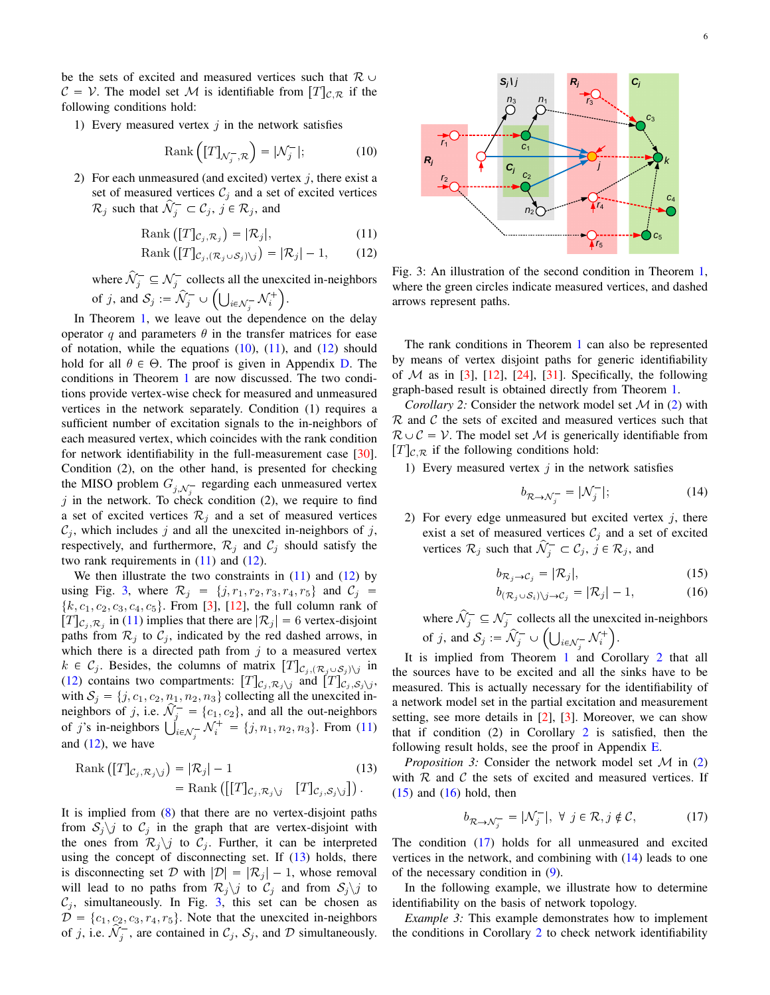be the sets of excited and measured vertices such that  $\mathcal{R} \cup$  $C = V$ . The model set M is identifiable from  $[T]_{CR}$  if the following conditions hold:

1) Every measured vertex  $j$  in the network satisfies

<span id="page-5-0"></span>
$$
Rank\left([T]_{\mathcal{N}_j^-,\mathcal{R}}\right) = |\mathcal{N}_j^-|; \tag{10}
$$

2) For each unmeasured (and excited) vertex  $j$ , there exist a set of measured vertices  $C_j$  and a set of excited vertices  $\mathcal{R}_j$  such that  $\widehat{\mathcal{N}}_j^- \subset \mathcal{C}_j$ ,  $j \in \mathcal{R}_j$ , and

$$
Rank ([T]_{C_j, \mathcal{R}_j}) = |\mathcal{R}_j|,
$$
\n(11)

$$
Rank ([T]_{C_j, (\mathcal{R}_j \cup \mathcal{S}_j) \setminus j}) = |\mathcal{R}_j| - 1,
$$
 (12)

where  $\hat{\mathcal{N}}_j^- \subseteq \mathcal{N}_j^-$  collects all the unexcited in-neighbors of j, and  $S_j := \mathcal{N}_j^- \cup \left( \bigcup_{i \in \mathcal{N}_j^-} \mathcal{N}_i^+ \right)$ .

In Theorem [1,](#page-4-4) we leave out the dependence on the delay operator q and parameters  $\theta$  in the transfer matrices for ease of notation, while the equations  $(10)$ ,  $(11)$ , and  $(12)$  should hold for all  $\theta \in \Theta$ . The proof is given in Appendix [D.](#page-10-0) The conditions in Theorem [1](#page-4-4) are now discussed. The two conditions provide vertex-wise check for measured and unmeasured vertices in the network separately. Condition (1) requires a sufficient number of excitation signals to the in-neighbors of each measured vertex, which coincides with the rank condition for network identifiability in the full-measurement case [\[30\]](#page-13-9). Condition (2), on the other hand, is presented for checking the MISO problem  $G_{j,\mathcal{N}_j^-}$  regarding each unmeasured vertex  $j$  in the network. To check condition (2), we require to find a set of excited vertices  $\mathcal{R}_i$  and a set of measured vertices  $C_j$ , which includes j and all the unexcited in-neighbors of j, respectively, and furthermore,  $\mathcal{R}_j$  and  $\mathcal{C}_j$  should satisfy the two rank requirements in  $(11)$  and  $(12)$ .

We then illustrate the two constraints in  $(11)$  and  $(12)$  by using Fig. [3,](#page-5-3) where  $\mathcal{R}_j = \{j, r_1, r_2, r_3, r_4, r_5\}$  and  $\mathcal{C}_j$  $\{k, c_1, c_2, c_3, c_4, c_5\}$ . From [\[3\]](#page-13-0), [\[12\]](#page-13-3), the full column rank of  $[T]_{\mathcal{C}_j, \mathcal{R}_j}$  in [\(11\)](#page-5-1) implies that there are  $|\mathcal{R}_j| = 6$  vertex-disjoint paths from  $\mathcal{R}_j$  to  $\mathcal{C}_j$ , indicated by the red dashed arrows, in which there is a directed path from  $j$  to a measured vertex  $k \in \mathcal{C}_j$ . Besides, the columns of matrix  $[T]_{\mathcal{C}_j, (\mathcal{R}_j \cup \mathcal{S}_j) \setminus j}$  in [\(12\)](#page-5-2) contains two compartments:  $[T]_{C_j, \mathcal{R}_j \setminus j}$  and  $[T]_{C_j, S_j \setminus j}$ , with  $S_j = \{j, c_1, c_2, n_1, n_2, n_3\}$  collecting all the unexcited inneighbors of j, i.e.  $\hat{\mathcal{N}}_j^- = \{c_1, c_2\}$ , and all the out-neighbors of j's in-neighbors  $\bigcup_{i \in \mathcal{N}_j^-} \mathcal{N}_i^+ = \{j, n_1, n_2, n_3\}$ . From [\(11\)](#page-5-1) and  $(12)$ , we have

Rank 
$$
\begin{aligned} \left\{\text{Rank}\left([T]_{\mathcal{C}_j,\mathcal{R}_j\backslash j}\right) = |\mathcal{R}_j| - 1 & (13) \\ & = \text{Rank}\left(\left[[T]_{\mathcal{C}_j,\mathcal{R}_j\backslash j} \quad [T]_{\mathcal{C}_j,\mathcal{S}_j\backslash j}\right]\right). \end{aligned}
$$

It is implied from [\(8\)](#page-3-3) that there are no vertex-disjoint paths from  $S_j \backslash j$  to  $C_j$  in the graph that are vertex-disjoint with the ones from  $\mathcal{R}_j \backslash j$  to  $\mathcal{C}_j$ . Further, it can be interpreted using the concept of disconnecting set. If  $(13)$  holds, there is disconnecting set D with  $|\mathcal{D}| = |\mathcal{R}_j| - 1$ , whose removal will lead to no paths from  $\mathcal{R}_j \setminus j$  to  $\mathcal{C}_j$  and from  $\mathcal{S}_j \setminus j$  to  $C_j$ , simultaneously. In Fig. [3,](#page-5-3) this set can be chosen as  $D = \{c_1, c_2, c_3, r_4, r_5\}.$  Note that the unexcited in-neighbors of j, i.e.  $\hat{\mathcal{N}}_j^-$ , are contained in  $\mathcal{C}_j$ ,  $\mathcal{S}_j$ , and  $\mathcal D$  simultaneously.

<span id="page-5-3"></span>

<span id="page-5-2"></span><span id="page-5-1"></span>Fig. 3: An illustration of the second condition in Theorem [1,](#page-4-4) where the green circles indicate measured vertices, and dashed arrows represent paths.

The rank conditions in Theorem [1](#page-4-4) can also be represented by means of vertex disjoint paths for generic identifiability of  $M$  as in [\[3\]](#page-13-0), [\[12\]](#page-13-3), [\[24\]](#page-13-26), [\[31\]](#page-13-23). Specifically, the following graph-based result is obtained directly from Theorem [1.](#page-4-4)

<span id="page-5-5"></span>*Corollary 2:* Consider the network model set M in [\(2\)](#page-2-1) with  $R$  and  $C$  the sets of excited and measured vertices such that  $\mathcal{R} \cup \mathcal{C} = \mathcal{V}$ . The model set M is generically identifiable from  $[T]_{\mathcal{C},\mathcal{R}}$  if the following conditions hold:

1) Every measured vertex  $j$  in the network satisfies

<span id="page-5-9"></span><span id="page-5-6"></span>
$$
b_{\mathcal{R}\to\mathcal{N}_j^-} = |\mathcal{N}_j^-|; \tag{14}
$$

2) For every edge unmeasured but excited vertex  $j$ , there exist a set of measured vertices  $\mathcal{C}_j$  and a set of excited vertices  $\mathcal{R}_j$  such that  $\hat{\mathcal{N}}_j^- \subset \mathcal{C}_j$ ,  $j \in \mathcal{R}_j$ , and

<span id="page-5-7"></span>
$$
b_{\mathcal{R}_j \to \mathcal{C}_j} = |\mathcal{R}_j|,\tag{15}
$$

$$
b_{(\mathcal{R}_j \cup \mathcal{S}_i) \setminus j \to \mathcal{C}_j} = |\mathcal{R}_j| - 1, \tag{16}
$$

where  $\hat{\mathcal{N}}_j^- \subseteq \mathcal{N}_j^-$  collects all the unexcited in-neighbors of j, and  $S_j := \mathcal{N}_j^- \cup \left( \bigcup_{i \in \mathcal{N}_j^-} \mathcal{N}_i^+ \right)$ .

It is implied from Theorem [1](#page-4-4) and Corollary [2](#page-5-5) that all the sources have to be excited and all the sinks have to be measured. This is actually necessary for the identifiability of a network model set in the partial excitation and measurement setting, see more details in [\[2\]](#page-12-1), [\[3\]](#page-13-0). Moreover, we can show that if condition  $(2)$  $(2)$  $(2)$  in Corollary 2 is satisfied, then the following result holds, see the proof in Appendix [E.](#page-11-0)

<span id="page-5-4"></span>*Proposition 3:* Consider the network model set M in [\(2\)](#page-2-1) with  $R$  and  $C$  the sets of excited and measured vertices. If  $(15)$  and  $(16)$  hold, then

<span id="page-5-10"></span><span id="page-5-8"></span>
$$
b_{\mathcal{R}\to\mathcal{N}_j^-} = |\mathcal{N}_j^-|, \ \forall \ j \in \mathcal{R}, j \notin \mathcal{C}, \tag{17}
$$

The condition [\(17\)](#page-5-8) holds for all unmeasured and excited vertices in the network, and combining with [\(14\)](#page-5-9) leads to one of the necessary condition in [\(9\)](#page-3-5).

In the following example, we illustrate how to determine identifiability on the basis of network topology.

*Example 3:* This example demonstrates how to implement the conditions in Corollary [2](#page-5-5) to check network identifiability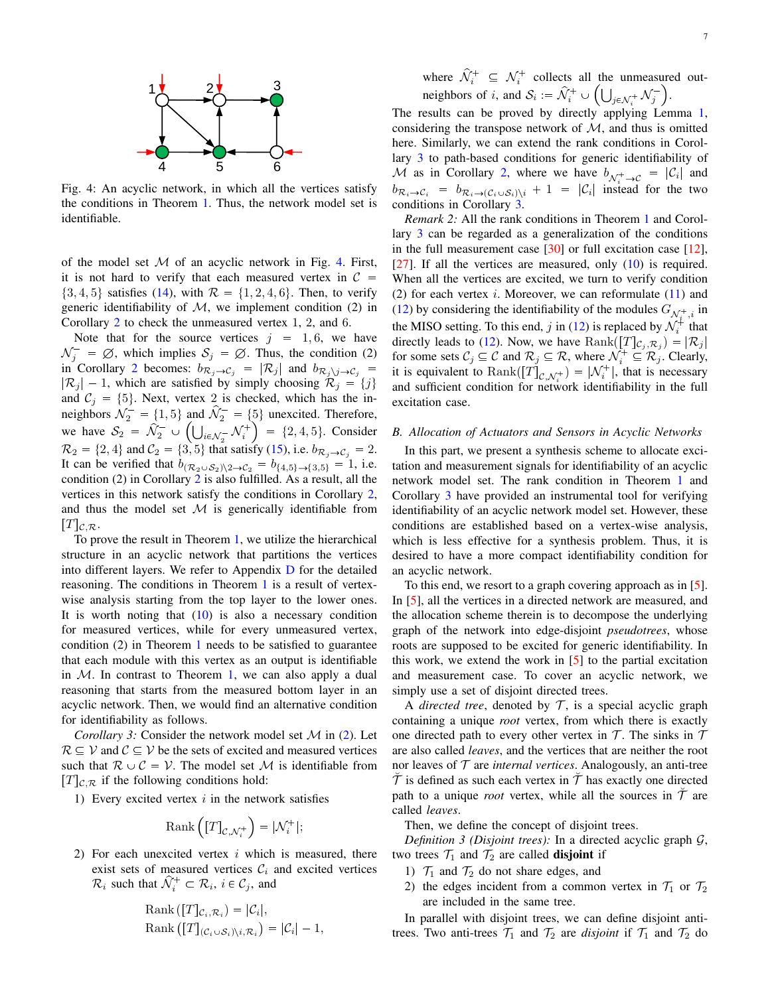<span id="page-6-0"></span>

Fig. 4: An acyclic network, in which all the vertices satisfy the conditions in Theorem [1.](#page-4-4) Thus, the network model set is identifiable.

of the model set  $M$  of an acyclic network in Fig. [4.](#page-6-0) First, it is not hard to verify that each measured vertex in  $\mathcal C$  $\{3, 4, 5\}$  satisfies [\(14\)](#page-5-9), with  $\mathcal{R} = \{1, 2, 4, 6\}$ . Then, to verify generic identifiability of  $M$ , we implement condition (2) in Corollary [2](#page-5-5) to check the unmeasured vertex 1, 2, and 6.

Note that for the source vertices  $j = 1, 6$ , we have  $\mathcal{N}_j^- = \emptyset$ , which implies  $\mathcal{S}_j = \emptyset$ . Thus, the condition (2) in Corollary [2](#page-5-5) becomes:  $b_{\mathcal{R}_j \to \mathcal{C}_j} = |\mathcal{R}_j|$  and  $b_{\mathcal{R}_j \setminus j \to \mathcal{C}_j} =$  $|\mathcal{R}_j| - 1$ , which are satisfied by simply choosing  $\mathcal{R}_j = \{j\}$ and  $C_j = \{5\}$ . Next, vertex 2 is checked, which has the inneighbors  $\mathcal{N}_2^- = \{1, 5\}$  and  $\mathcal{N}_2^- = \{5\}$  unexcited. Therefore, we have  $S_2 = \hat{N}_2^- \cup \left( \bigcup_{i \in \mathcal{N}_2^-} \mathcal{N}_i^+ \right) = \{2, 4, 5\}.$  Consider  $\mathcal{R}_2 = \{2, 4\}$  and  $\mathcal{C}_2 = \{3, 5\}$  that satisfy [\(15\)](#page-5-6), i.e.  $b_{\mathcal{R}_j \to \mathcal{C}_j} = 2$ . It can be verified that  $b_{(\mathcal{R}_2 \cup \mathcal{S}_2)\setminus 2 \to \mathcal{C}_2} = b_{\{4,5\} \to \{3,5\}} = 1$ , i.e. condition (2) in Corollary [2](#page-5-5) is also fulfilled. As a result, all the vertices in this network satisfy the conditions in Corollary [2,](#page-5-5) and thus the model set  $M$  is generically identifiable from  $T|_{\mathcal{C},\mathcal{R}}$ .

To prove the result in Theorem [1,](#page-4-4) we utilize the hierarchical structure in an acyclic network that partitions the vertices into different layers. We refer to Appendix [D](#page-10-0) for the detailed reasoning. The conditions in Theorem [1](#page-4-4) is a result of vertexwise analysis starting from the top layer to the lower ones. It is worth noting that  $(10)$  is also a necessary condition for measured vertices, while for every unmeasured vertex, condition (2) in Theorem [1](#page-4-4) needs to be satisfied to guarantee that each module with this vertex as an output is identifiable in  $M$ . In contrast to Theorem [1,](#page-4-4) we can also apply a dual reasoning that starts from the measured bottom layer in an acyclic network. Then, we would find an alternative condition for identifiability as follows.

*Corollary 3:* Consider the network model set M in [\(2\)](#page-2-1). Let  $\mathcal{R} \subseteq \mathcal{V}$  and  $\mathcal{C} \subseteq \mathcal{V}$  be the sets of excited and measured vertices such that  $\mathcal{R} \cup \mathcal{C} = \mathcal{V}$ . The model set M is identifiable from  $[T]_{\mathcal{C},\mathcal{R}}$  if the following conditions hold:

1) Every excited vertex  $i$  in the network satisfies

<span id="page-6-1"></span>
$$
\mathrm{Rank}\left(\left[T\right]_{\mathcal{C},\mathcal{N}_i^+}\right)=|\mathcal{N}_i^+|;
$$

2) For each unexcited vertex  $i$  which is measured, there exist sets of measured vertices  $C_i$  and excited vertices  $\mathcal{R}_i$  such that  $\hat{\mathcal{N}}_i^+ \subset \mathcal{R}_i$ ,  $i \in \mathcal{C}_j$ , and

Rank 
$$
([T]_{\mathcal{C}_i, \mathcal{R}_i}) = |\mathcal{C}_i|
$$
,  
\nRank  $([T]_{(\mathcal{C}_i \cup \mathcal{S}_i)\setminus i, \mathcal{R}_i}) = |\mathcal{C}_i| - 1$ ,

where  $\hat{\mathcal{N}}_i^+ \subseteq \mathcal{N}_i^+$  collects all the unmeasured outneighbors of i, and  $S_i := \hat{\mathcal{N}}_i^+ \cup \left( \bigcup_{j \in \mathcal{N}_i^+} \mathcal{N}_j^- \right)$ .

The results can be proved by directly applying Lemma [1,](#page-2-5) considering the transpose network of  $M$ , and thus is omitted here. Similarly, we can extend the rank conditions in Corollary [3](#page-6-1) to path-based conditions for generic identifiability of M as in Corollary [2,](#page-5-5) where we have  $b_{\mathcal{N}_{i}^{+} \rightarrow C} = |\mathcal{C}_{i}|$  and  $b_{\mathcal{R}_i \to \mathcal{C}_i} = b_{\mathcal{R}_i \to (\mathcal{C}_i \cup \mathcal{S}_i) \setminus i} + 1 = |\mathcal{C}_i|$  instead for the two conditions in Corollary [3.](#page-6-1)

*Remark 2:* All the rank conditions in Theorem [1](#page-4-4) and Corollary [3](#page-6-1) can be regarded as a generalization of the conditions in the full measurement case  $[30]$  or full excitation case  $[12]$ , [\[27\]](#page-13-8). If all the vertices are measured, only  $(10)$  is required. When all the vertices are excited, we turn to verify condition (2) for each vertex i. Moreover, we can reformulate  $(11)$  and [\(12\)](#page-5-2) by considering the identifiability of the modules  $G_{\mathcal{N}_{i}^{+},i}$  in the MISO setting. To this end, j in [\(12\)](#page-5-2) is replaced by  $\mathcal{N}_i^*$  that directly leads to [\(12\)](#page-5-2). Now, we have  $\text{Rank}([T]_{C_j, \mathcal{R}_j}) = |\mathcal{R}_j|$ for some sets  $C_j \subseteq \mathcal{C}$  and  $\mathcal{R}_j \subseteq \mathcal{R}$ , where  $\mathcal{N}_i^+ \subseteq \mathcal{R}_j$ . Clearly, it is equivalent to  $\text{Rank}([T]_{\mathcal{C},\mathcal{N}_i^+}) = |\mathcal{N}_i^+|$ , that is necessary and sufficient condition for network identifiability in the full excitation case.

#### *B. Allocation of Actuators and Sensors in Acyclic Networks*

In this part, we present a synthesis scheme to allocate excitation and measurement signals for identifiability of an acyclic network model set. The rank condition in Theorem [1](#page-4-4) and Corollary [3](#page-6-1) have provided an instrumental tool for verifying identifiability of an acyclic network model set. However, these conditions are established based on a vertex-wise analysis, which is less effective for a synthesis problem. Thus, it is desired to have a more compact identifiability condition for an acyclic network.

To this end, we resort to a graph covering approach as in [\[5\]](#page-13-20). In [\[5\]](#page-13-20), all the vertices in a directed network are measured, and the allocation scheme therein is to decompose the underlying graph of the network into edge-disjoint *pseudotrees*, whose roots are supposed to be excited for generic identifiability. In this work, we extend the work in [\[5\]](#page-13-20) to the partial excitation and measurement case. To cover an acyclic network, we simply use a set of disjoint directed trees.

A *directed tree*, denoted by  $T$ , is a special acyclic graph containing a unique *root* vertex, from which there is exactly one directed path to every other vertex in  $\mathcal T$ . The sinks in  $\mathcal T$ are also called *leaves*, and the vertices that are neither the root nor leaves of  $T$  are *internal vertices*. Analogously, an anti-tree  $\tilde{\mathcal{T}}$  is defined as such each vertex in  $\tilde{\mathcal{T}}$  has exactly one directed path to a unique *root* vertex, while all the sources in  $T$  are called *leaves*.

<span id="page-6-2"></span>Then, we define the concept of disjoint trees.

*Definition 3 (Disjoint trees)*: In a directed acyclic graph  $G$ , two trees  $\mathcal{T}_1$  and  $\mathcal{T}_2$  are called **disjoint** if

- 1)  $\mathcal{T}_1$  and  $\mathcal{T}_2$  do not share edges, and
- 2) the edges incident from a common vertex in  $\mathcal{T}_1$  or  $\mathcal{T}_2$ are included in the same tree.

In parallel with disjoint trees, we can define disjoint antitrees. Two anti-trees  $\mathcal{T}_1$  and  $\mathcal{T}_2$  are *disjoint* if  $\mathcal{T}_1$  and  $\mathcal{T}_2$  do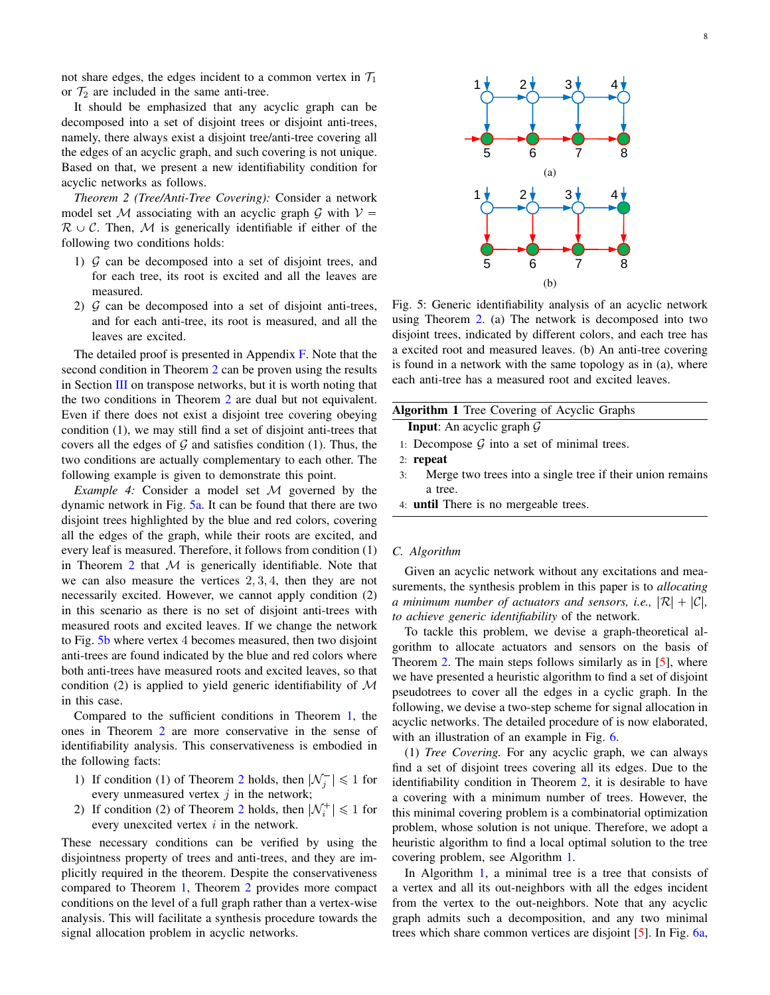not share edges, the edges incident to a common vertex in  $\mathcal{T}_1$ or  $\mathcal{T}_2$  are included in the same anti-tree.

It should be emphasized that any acyclic graph can be decomposed into a set of disjoint trees or disjoint anti-trees, namely, there always exist a disjoint tree/anti-tree covering all the edges of an acyclic graph, and such covering is not unique. Based on that, we present a new identifiability condition for acyclic networks as follows.

<span id="page-7-0"></span>*Theorem 2 (Tree/Anti-Tree Covering):* Consider a network model set M associating with an acyclic graph G with  $V =$  $\mathcal{R} \cup \mathcal{C}$ . Then, M is generically identifiable if either of the following two conditions holds:

- 1)  $G$  can be decomposed into a set of disjoint trees, and for each tree, its root is excited and all the leaves are measured.
- 2)  $G$  can be decomposed into a set of disjoint anti-trees, and for each anti-tree, its root is measured, and all the leaves are excited.

The detailed proof is presented in Appendix [F.](#page-12-2) Note that the second condition in Theorem [2](#page-7-0) can be proven using the results in Section [III](#page-2-0) on transpose networks, but it is worth noting that the two conditions in Theorem [2](#page-7-0) are dual but not equivalent. Even if there does not exist a disjoint tree covering obeying condition (1), we may still find a set of disjoint anti-trees that covers all the edges of  $G$  and satisfies condition (1). Thus, the two conditions are actually complementary to each other. The following example is given to demonstrate this point.

*Example 4:* Consider a model set M governed by the dynamic network in Fig. [5a.](#page-7-1) It can be found that there are two disjoint trees highlighted by the blue and red colors, covering all the edges of the graph, while their roots are excited, and every leaf is measured. Therefore, it follows from condition (1) in Theorem [2](#page-7-0) that  $M$  is generically identifiable. Note that we can also measure the vertices 2, 3, 4, then they are not necessarily excited. However, we cannot apply condition (2) in this scenario as there is no set of disjoint anti-trees with measured roots and excited leaves. If we change the network to Fig. [5b](#page-7-1) where vertex 4 becomes measured, then two disjoint anti-trees are found indicated by the blue and red colors where both anti-trees have measured roots and excited leaves, so that condition (2) is applied to yield generic identifiability of  $\mathcal M$ in this case.

Compared to the sufficient conditions in Theorem [1,](#page-4-4) the ones in Theorem [2](#page-7-0) are more conservative in the sense of identifiability analysis. This conservativeness is embodied in the following facts:

- 1) If condition (1) of Theorem [2](#page-7-0) holds, then  $|\mathcal{N}_j^-| \leq 1$  for every unmeasured vertex  $j$  in the network;
- [2](#page-7-0)) If condition (2) of Theorem 2 holds, then  $|\mathcal{N}_i^+| \le 1$  for every unexcited vertex  $i$  in the network.

These necessary conditions can be verified by using the disjointness property of trees and anti-trees, and they are implicitly required in the theorem. Despite the conservativeness compared to Theorem [1,](#page-4-4) Theorem [2](#page-7-0) provides more compact conditions on the level of a full graph rather than a vertex-wise analysis. This will facilitate a synthesis procedure towards the signal allocation problem in acyclic networks.

<span id="page-7-1"></span>

Fig. 5: Generic identifiability analysis of an acyclic network using Theorem [2.](#page-7-0) (a) The network is decomposed into two disjoint trees, indicated by different colors, and each tree has a excited root and measured leaves. (b) An anti-tree covering is found in a network with the same topology as in (a), where each anti-tree has a measured root and excited leaves.

| <b>Algorithm 1</b> Tree Covering of Acyclic Graphs |  |
|----------------------------------------------------|--|
| <b>Input:</b> An acyclic graph $\mathcal{G}$       |  |
| 1: Decompose $G$ into a set of minimal trees.      |  |

- 2: repeat
- 3: Merge two trees into a single tree if their union remains a tree.
- <span id="page-7-2"></span>4: until There is no mergeable trees.

#### *C. Algorithm*

Given an acyclic network without any excitations and measurements, the synthesis problem in this paper is to *allocating a minimum number of actuators and sensors, i.e.,*  $|\mathcal{R}| + |\mathcal{C}|$ *, to achieve generic identifiability* of the network.

To tackle this problem, we devise a graph-theoretical algorithm to allocate actuators and sensors on the basis of Theorem [2.](#page-7-0) The main steps follows similarly as in [\[5\]](#page-13-20), where we have presented a heuristic algorithm to find a set of disjoint pseudotrees to cover all the edges in a cyclic graph. In the following, we devise a two-step scheme for signal allocation in acyclic networks. The detailed procedure of is now elaborated, with an illustration of an example in Fig. [6.](#page-8-0)

(1) *Tree Covering.* For any acyclic graph, we can always find a set of disjoint trees covering all its edges. Due to the identifiability condition in Theorem [2,](#page-7-0) it is desirable to have a covering with a minimum number of trees. However, the this minimal covering problem is a combinatorial optimization problem, whose solution is not unique. Therefore, we adopt a heuristic algorithm to find a local optimal solution to the tree covering problem, see Algorithm [1.](#page-7-2)

In Algorithm [1,](#page-7-2) a minimal tree is a tree that consists of a vertex and all its out-neighbors with all the edges incident from the vertex to the out-neighbors. Note that any acyclic graph admits such a decomposition, and any two minimal trees which share common vertices are disjoint [\[5\]](#page-13-20). In Fig. [6a,](#page-8-0)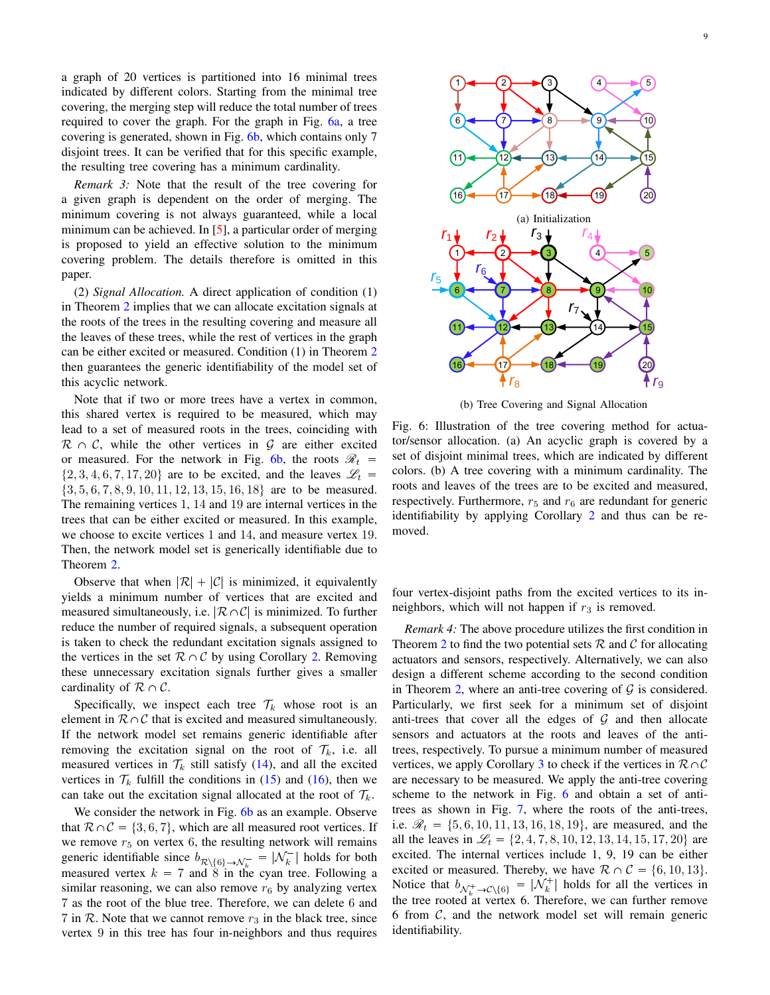a graph of 20 vertices is partitioned into 16 minimal trees indicated by different colors. Starting from the minimal tree covering, the merging step will reduce the total number of trees required to cover the graph. For the graph in Fig. [6a,](#page-8-0) a tree covering is generated, shown in Fig. [6b,](#page-8-0) which contains only 7 disjoint trees. It can be verified that for this specific example, the resulting tree covering has a minimum cardinality.

*Remark 3:* Note that the result of the tree covering for a given graph is dependent on the order of merging. The minimum covering is not always guaranteed, while a local minimum can be achieved. In  $[5]$ , a particular order of merging is proposed to yield an effective solution to the minimum covering problem. The details therefore is omitted in this paper.

(2) *Signal Allocation.* A direct application of condition (1) in Theorem [2](#page-7-0) implies that we can allocate excitation signals at the roots of the trees in the resulting covering and measure all the leaves of these trees, while the rest of vertices in the graph can be either excited or measured. Condition (1) in Theorem [2](#page-7-0) then guarantees the generic identifiability of the model set of this acyclic network.

Note that if two or more trees have a vertex in common, this shared vertex is required to be measured, which may lead to a set of measured roots in the trees, coinciding with  $\mathcal{R} \cap \mathcal{C}$ , while the other vertices in  $\mathcal{G}$  are either excited or measured. For the network in Fig. [6b,](#page-8-0) the roots  $\mathcal{R}_t$  =  $\{2, 3, 4, 6, 7, 17, 20\}$  are to be excited, and the leaves  $\mathcal{L}_t$  =  $\{3, 5, 6, 7, 8, 9, 10, 11, 12, 13, 15, 16, 18\}$  are to be measured. The remaining vertices 1, 14 and 19 are internal vertices in the trees that can be either excited or measured. In this example, we choose to excite vertices 1 and 14, and measure vertex 19. Then, the network model set is generically identifiable due to Theorem [2.](#page-7-0)

Observe that when  $|\mathcal{R}| + |\mathcal{C}|$  is minimized, it equivalently yields a minimum number of vertices that are excited and measured simultaneously, i.e.  $\mathcal{R}\cap\mathcal{C}$  is minimized. To further reduce the number of required signals, a subsequent operation is taken to check the redundant excitation signals assigned to the vertices in the set  $\mathcal{R} \cap \mathcal{C}$  by using Corollary [2.](#page-5-5) Removing these unnecessary excitation signals further gives a smaller cardinality of  $\mathcal{R} \cap \mathcal{C}$ .

Specifically, we inspect each tree  $\mathcal{T}_k$  whose root is an element in  $\mathcal{R}\cap\mathcal{C}$  that is excited and measured simultaneously. If the network model set remains generic identifiable after removing the excitation signal on the root of  $\mathcal{T}_k$ , i.e. all measured vertices in  $\mathcal{T}_k$  still satisfy [\(14\)](#page-5-9), and all the excited vertices in  $\mathcal{T}_k$  fulfill the conditions in [\(15\)](#page-5-6) and [\(16\)](#page-5-7), then we can take out the excitation signal allocated at the root of  $\mathcal{T}_k$ .

We consider the network in Fig. [6b](#page-8-0) as an example. Observe that  $\mathcal{R} \cap \mathcal{C} = \{3, 6, 7\}$ , which are all measured root vertices. If we remove  $r<sub>5</sub>$  on vertex 6, the resulting network will remains generic identifiable since  $b_{\mathcal{R}\setminus\{6\}\to\mathcal{N}_k^-} = |\mathcal{N}_k^-|$  holds for both measured vertex  $k = 7$  and 8 in the cyan tree. Following a similar reasoning, we can also remove  $r_6$  by analyzing vertex 7 as the root of the blue tree. Therefore, we can delete 6 and 7 in R. Note that we cannot remove  $r_3$  in the black tree, since vertex 9 in this tree has four in-neighbors and thus requires

<span id="page-8-0"></span>

(b) Tree Covering and Signal Allocation

Fig. 6: Illustration of the tree covering method for actuator/sensor allocation. (a) An acyclic graph is covered by a set of disjoint minimal trees, which are indicated by different colors. (b) A tree covering with a minimum cardinality. The roots and leaves of the trees are to be excited and measured, respectively. Furthermore,  $r_5$  and  $r_6$  are redundant for generic identifiability by applying Corollary [2](#page-5-5) and thus can be removed.

four vertex-disjoint paths from the excited vertices to its inneighbors, which will not happen if  $r_3$  is removed.

*Remark 4:* The above procedure utilizes the first condition in Theorem [2](#page-7-0) to find the two potential sets  $R$  and  $C$  for allocating actuators and sensors, respectively. Alternatively, we can also design a different scheme according to the second condition in Theorem [2,](#page-7-0) where an anti-tree covering of  $G$  is considered. Particularly, we first seek for a minimum set of disjoint anti-trees that cover all the edges of  $G$  and then allocate sensors and actuators at the roots and leaves of the antitrees, respectively. To pursue a minimum number of measured vertices, we apply Corollary [3](#page-6-1) to check if the vertices in  $\mathcal{R}\cap\mathcal{C}$ are necessary to be measured. We apply the anti-tree covering scheme to the network in Fig. [6](#page-8-0) and obtain a set of antitrees as shown in Fig. [7,](#page-9-3) where the roots of the anti-trees, i.e.  $\mathcal{R}_t = \{5, 6, 10, 11, 13, 16, 18, 19\}$ , are measured, and the all the leaves in  $\mathcal{L}_t = \{2, 4, 7, 8, 10, 12, 13, 14, 15, 17, 20\}$  are excited. The internal vertices include 1, 9, 19 can be either excited or measured. Thereby, we have  $\mathcal{R} \cap \mathcal{C} = \{6, 10, 13\}.$ Notice that  $b_{\mathcal{N}_{k}^{+}\to\mathcal{C}\backslash\{6\}} = |\mathcal{N}_{k}^{+}|$  holds for all the vertices in the tree rooted at vertex 6. Therefore, we can further remove 6 from  $C$ , and the network model set will remain generic identifiability.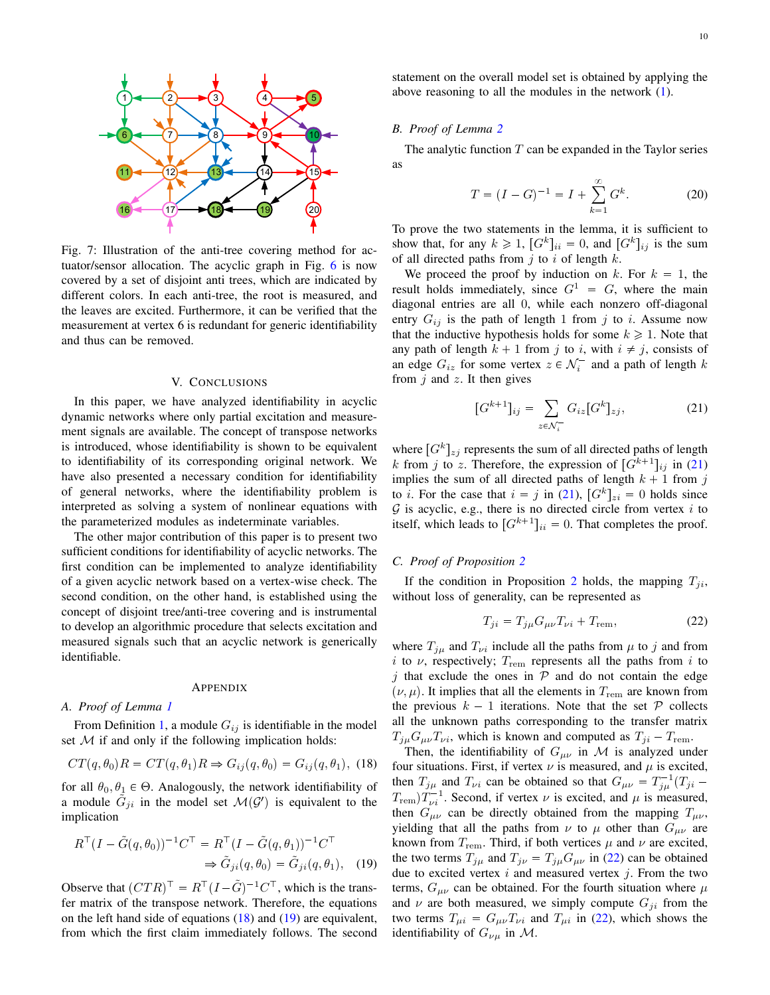<span id="page-9-3"></span>

Fig. 7: Illustration of the anti-tree covering method for actuator/sensor allocation. The acyclic graph in Fig. [6](#page-8-0) is now covered by a set of disjoint anti trees, which are indicated by different colors. In each anti-tree, the root is measured, and the leaves are excited. Furthermore, it can be verified that the measurement at vertex 6 is redundant for generic identifiability and thus can be removed.

#### V. CONCLUSIONS

<span id="page-9-0"></span>In this paper, we have analyzed identifiability in acyclic dynamic networks where only partial excitation and measurement signals are available. The concept of transpose networks is introduced, whose identifiability is shown to be equivalent to identifiability of its corresponding original network. We have also presented a necessary condition for identifiability of general networks, where the identifiability problem is interpreted as solving a system of nonlinear equations with the parameterized modules as indeterminate variables.

The other major contribution of this paper is to present two sufficient conditions for identifiability of acyclic networks. The first condition can be implemented to analyze identifiability of a given acyclic network based on a vertex-wise check. The second condition, on the other hand, is established using the concept of disjoint tree/anti-tree covering and is instrumental to develop an algorithmic procedure that selects excitation and measured signals such that an acyclic network is generically identifiable.

#### APPENDIX

#### <span id="page-9-1"></span>*A. Proof of Lemma [1](#page-2-5)*

From Definition [1,](#page-2-3) a module  $G_{ij}$  is identifiable in the model set  $M$  if and only if the following implication holds:

<span id="page-9-4"></span>
$$
CT(q, \theta_0)R = CT(q, \theta_1)R \Rightarrow G_{ij}(q, \theta_0) = G_{ij}(q, \theta_1), \tag{18}
$$

for all  $\theta_0, \theta_1 \in \Theta$ . Analogously, the network identifiability of a module  $\tilde{G}_{ji}$  in the model set  $\mathcal{M}(\mathcal{G}')$  is equivalent to the implication

$$
R^{\top} (I - \tilde{G}(q, \theta_0))^{-1} C^{\top} = R^{\top} (I - \tilde{G}(q, \theta_1))^{-1} C^{\top}
$$
  

$$
\Rightarrow \tilde{G}_{ji}(q, \theta_0) = \tilde{G}_{ji}(q, \theta_1), \quad (19)
$$

Observe that  $(CTR)^{\top} = R^{\top}(I - \tilde{G})^{-1}C^{\top}$ , which is the transfer matrix of the transpose network. Therefore, the equations on the left hand side of equations [\(18\)](#page-9-4) and [\(19\)](#page-9-5) are equivalent, from which the first claim immediately follows. The second statement on the overall model set is obtained by applying the above reasoning to all the modules in the network [\(1\)](#page-1-1).

#### *B. Proof of Lemma [2](#page-4-0)*

The analytic function  $T$  can be expanded in the Taylor series as

$$
T = (I - G)^{-1} = I + \sum_{k=1}^{\infty} G^{k}.
$$
 (20)

To prove the two statements in the lemma, it is sufficient to show that, for any  $k \ge 1$ ,  $[G^k]_{ii} = 0$ , and  $[G^k]_{ij}$  is the sum of all directed paths from  $j$  to  $i$  of length  $k$ .

We proceed the proof by induction on k. For  $k = 1$ , the result holds immediately, since  $G^1 = G$ , where the main diagonal entries are all 0, while each nonzero off-diagonal entry  $G_{ij}$  is the path of length 1 from j to i. Assume now that the inductive hypothesis holds for some  $k \geq 1$ . Note that any path of length  $k + 1$  from j to i, with  $i \neq j$ , consists of an edge  $G_{iz}$  for some vertex  $z \in \mathcal{N}_i^-$  and a path of length k from  $j$  and  $z$ . It then gives

<span id="page-9-6"></span>
$$
[G^{k+1}]_{ij} = \sum_{z \in \mathcal{N}_i^-} G_{iz} [G^k]_{zj},
$$
 (21)

where  $[G^k]_{zj}$  represents the sum of all directed paths of length k from j to z. Therefore, the expression of  $[G^{k+1}]_{ij}$  in [\(21\)](#page-9-6) implies the sum of all directed paths of length  $k + 1$  from j to *i*. For the case that  $i = j$  in [\(21\)](#page-9-6),  $[G^k]_{zi} = 0$  holds since  $G$  is acyclic, e.g., there is no directed circle from vertex i to itself, which leads to  $[G^{k+1}]_{ii} = 0$ . That completes the proof.

# <span id="page-9-2"></span>*C. Proof of Proposition [2](#page-4-1)*

If the condition in Proposition [2](#page-4-1) holds, the mapping  $T_{ii}$ , without loss of generality, can be represented as

<span id="page-9-7"></span>
$$
T_{ji} = T_{j\mu} G_{\mu\nu} T_{\nu i} + T_{\text{rem}},\tag{22}
$$

where  $T_{j\mu}$  and  $T_{\nu i}$  include all the paths from  $\mu$  to j and from i to  $\nu$ , respectively;  $T_{\text{rem}}$  represents all the paths from i to  $j$  that exclude the ones in  $P$  and do not contain the edge  $(\nu, \mu)$ . It implies that all the elements in  $T_{\text{rem}}$  are known from the previous  $k - 1$  iterations. Note that the set  $P$  collects all the unknown paths corresponding to the transfer matrix  $T_{j\mu}G_{\mu\nu}T_{\nu i}$ , which is known and computed as  $T_{ji} - T_{\text{rem}}$ .

<span id="page-9-5"></span>Then, the identifiability of  $G_{\mu\nu}$  in M is analyzed under four situations. First, if vertex  $\nu$  is measured, and  $\mu$  is excited, then  $T_{j\mu}$  and  $T_{\nu i}$  can be obtained so that  $G_{\mu\nu} = T_{j\mu}^{-1} (T_{ji} T_{\text{rem}}$ ) $T_{\nu i}^{-1}$ . Second, if vertex  $\nu$  is excited, and  $\mu$  is measured, then  $G_{\mu\nu}$  can be directly obtained from the mapping  $T_{\mu\nu}$ , yielding that all the paths from  $\nu$  to  $\mu$  other than  $G_{\mu\nu}$  are known from  $T_{\text{rem}}$ . Third, if both vertices  $\mu$  and  $\nu$  are excited, the two terms  $T_{j\mu}$  and  $T_{j\nu} = T_{j\mu}G_{\mu\nu}$  in [\(22\)](#page-9-7) can be obtained due to excited vertex  $i$  and measured vertex  $j$ . From the two terms,  $G_{\mu\nu}$  can be obtained. For the fourth situation where  $\mu$ and  $\nu$  are both measured, we simply compute  $G_{ji}$  from the two terms  $T_{\mu i} = G_{\mu\nu} T_{\nu i}$  and  $T_{\mu i}$  in [\(22\)](#page-9-7), which shows the identifiability of  $G_{\nu\mu}$  in M.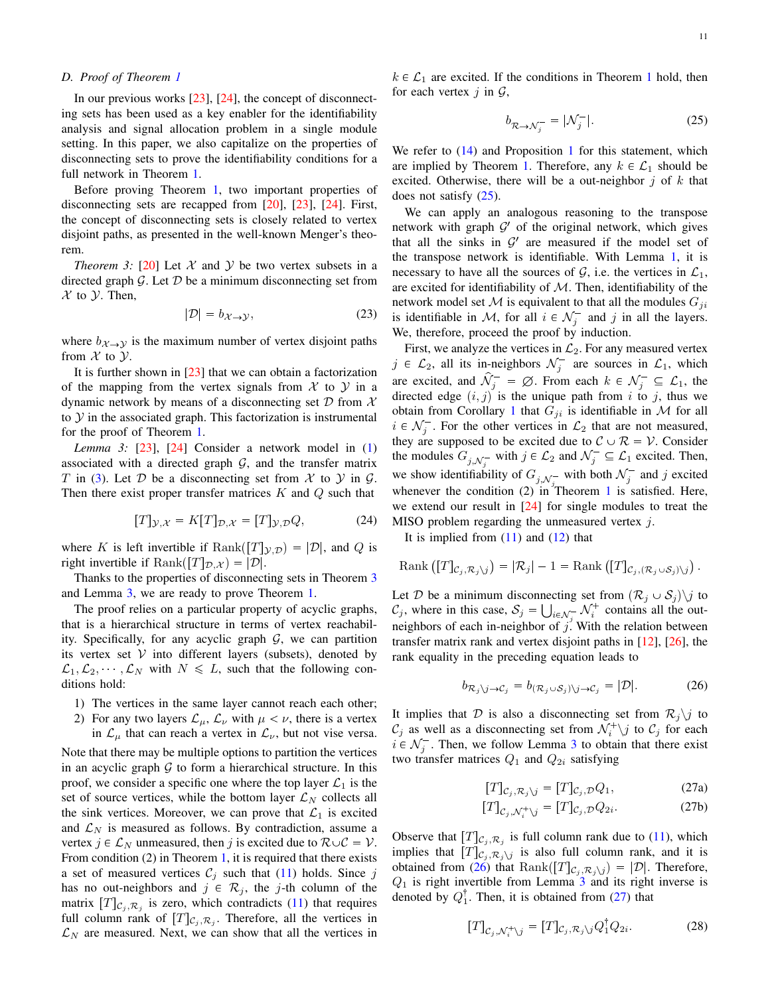# <span id="page-10-0"></span>*D. Proof of Theorem [1](#page-4-4)*

In our previous works [\[23\]](#page-13-21), [\[24\]](#page-13-26), the concept of disconnecting sets has been used as a key enabler for the identifiability analysis and signal allocation problem in a single module setting. In this paper, we also capitalize on the properties of disconnecting sets to prove the identifiability conditions for a full network in Theorem [1.](#page-4-4)

Before proving Theorem [1,](#page-4-4) two important properties of disconnecting sets are recapped from [\[20\]](#page-13-29), [\[23\]](#page-13-21), [\[24\]](#page-13-26). First, the concept of disconnecting sets is closely related to vertex disjoint paths, as presented in the well-known Menger's theorem.

<span id="page-10-1"></span>*Theorem 3:* [\[20\]](#page-13-29) Let  $X$  and  $Y$  be two vertex subsets in a directed graph  $G$ . Let  $D$  be a minimum disconnecting set from  $\mathcal X$  to  $\mathcal Y$ . Then,

$$
|\mathcal{D}| = b_{\mathcal{X} \to \mathcal{Y}},\tag{23}
$$

where  $b_{\mathcal{X}\rightarrow\mathcal{Y}}$  is the maximum number of vertex disjoint paths from  $\mathcal X$  to  $\mathcal Y$ .

It is further shown in  $[23]$  that we can obtain a factorization of the mapping from the vertex signals from  $\mathcal X$  to  $\mathcal Y$  in a dynamic network by means of a disconnecting set  $D$  from  $\mathcal X$ to  $Y$  in the associated graph. This factorization is instrumental for the proof of Theorem [1.](#page-4-4)

<span id="page-10-2"></span>*Lemma 3:* [\[23\]](#page-13-21), [\[24\]](#page-13-26) Consider a network model in [\(1\)](#page-1-1) associated with a directed graph  $G$ , and the transfer matrix T in [\(3\)](#page-2-6). Let D be a disconnecting set from X to Y in G. Then there exist proper transfer matrices  $K$  and  $Q$  such that

$$
[T]_{\mathcal{Y},\mathcal{X}} = K[T]_{\mathcal{D},\mathcal{X}} = [T]_{\mathcal{Y},\mathcal{D}} Q,\tag{24}
$$

where K is left invertible if  $\text{Rank}([T]_{\mathcal{Y},\mathcal{D}}) = |\mathcal{D}|$ , and Q is right invertible if  $\text{Rank}([T]_{\mathcal{D},\mathcal{X}}) = |\mathcal{D}|.$ 

Thanks to the properties of disconnecting sets in Theorem [3](#page-10-1) and Lemma [3,](#page-10-2) we are ready to prove Theorem [1.](#page-4-4)

The proof relies on a particular property of acyclic graphs, that is a hierarchical structure in terms of vertex reachability. Specifically, for any acyclic graph  $G$ , we can partition its vertex set  $V$  into different layers (subsets), denoted by  $\mathcal{L}_1, \mathcal{L}_2, \dots, \mathcal{L}_N$  with  $N \leq L$ , such that the following conditions hold:

- 1) The vertices in the same layer cannot reach each other;
- 2) For any two layers  $\mathcal{L}_{\mu}$ ,  $\mathcal{L}_{\nu}$  with  $\mu < \nu$ , there is a vertex in  $\mathcal{L}_{\mu}$  that can reach a vertex in  $\mathcal{L}_{\nu}$ , but not vise versa.

Note that there may be multiple options to partition the vertices in an acyclic graph  $G$  to form a hierarchical structure. In this proof, we consider a specific one where the top layer  $\mathcal{L}_1$  is the set of source vertices, while the bottom layer  $\mathcal{L}_N$  collects all the sink vertices. Moreover, we can prove that  $\mathcal{L}_1$  is excited and  $\mathcal{L}_N$  is measured as follows. By contradiction, assume a vertex  $j \in \mathcal{L}_N$  unmeasured, then j is excited due to  $\mathcal{R} \cup \mathcal{C} = \mathcal{V}$ . From condition (2) in Theorem [1,](#page-4-4) it is required that there exists a set of measured vertices  $C_j$  such that [\(11\)](#page-5-1) holds. Since j has no out-neighbors and  $j \in \mathcal{R}_j$ , the j-th column of the matrix  $[T]_{\mathcal{C}_j, \mathcal{R}_j}$  is zero, which contradicts [\(11\)](#page-5-1) that requires full column rank of  $[T]_{C_j, R_j}$ . Therefore, all the vertices in  $\mathcal{L}_N$  are measured. Next, we can show that all the vertices in  $k \in \mathcal{L}_1$  $k \in \mathcal{L}_1$  are excited. If the conditions in Theorem 1 hold, then for each vertex  $i$  in  $\mathcal{G}$ ,

<span id="page-10-3"></span>
$$
b_{\mathcal{R}\to\mathcal{N}_j^-} = |\mathcal{N}_j^-|.\tag{25}
$$

We refer to  $(14)$  and Proposition [1](#page-3-6) for this statement, which are implied by Theorem [1.](#page-4-4) Therefore, any  $k \in \mathcal{L}_1$  should be excited. Otherwise, there will be a out-neighbor  $j$  of  $k$  that does not satisfy [\(25\)](#page-10-3).

We can apply an analogous reasoning to the transpose network with graph  $\mathcal{G}'$  of the original network, which gives that all the sinks in  $\mathcal{G}'$  are measured if the model set of the transpose network is identifiable. With Lemma [1,](#page-2-5) it is necessary to have all the sources of  $G$ , i.e. the vertices in  $\mathcal{L}_1$ , are excited for identifiability of  $M$ . Then, identifiability of the network model set  $M$  is equivalent to that all the modules  $G_{ji}$ is identifiable in M, for all  $i \in \mathcal{N}_j^-$  and j in all the layers. We, therefore, proceed the proof by induction.

First, we analyze the vertices in  $\mathcal{L}_2$ . For any measured vertex  $j \in \mathcal{L}_2$ , all its in-neighbors  $\mathcal{N}_j^-$  are sources in  $\mathcal{L}_1$ , which are excited, and  $\hat{\mathcal{N}}_j^- = \emptyset$ . From each  $k \in \mathcal{N}_j^- \subseteq \mathcal{L}_1$ , the directed edge  $(i, j)$  is the unique path from i to j, thus we obtain from Corollary [1](#page-4-2) that  $G_{ji}$  is identifiable in M for all  $i \in \mathcal{N}_j^-$ . For the other vertices in  $\mathcal{L}_2$  that are not measured, they are supposed to be excited due to  $C \cup \mathcal{R} = \mathcal{V}$ . Consider the modules  $G_{j,\mathcal{N}_j^-}$  with  $j \in \mathcal{L}_2$  and  $\mathcal{N}_j^- \subseteq \mathcal{L}_1$  excited. Then, we show identifiability of  $G_{j,\mathcal{N}_j^-}$  with both  $\mathcal{N}_j^-$  and j excited whenever the condition  $(2)$  in Theorem [1](#page-4-4) is satisfied. Here, we extend our result in [\[24\]](#page-13-26) for single modules to treat the MISO problem regarding the unmeasured vertex  $j$ .

It is implied from  $(11)$  and  $(12)$  that

$$
\text{Rank}\left([T]_{\mathcal{C}_j,\mathcal{R}_j\setminus j}\right)=|\mathcal{R}_j|-1=\text{Rank}\left([T]_{\mathcal{C}_j,(\mathcal{R}_j\cup\mathcal{S}_j)\setminus j}\right).
$$

Let D be a minimum disconnecting set from  $(\mathcal{R}_i \cup \mathcal{S}_i)$  to  $\mathcal{C}_j$ , where in this case,  $\mathcal{S}_j = \bigcup_{i \in \mathcal{N}_j^-} \mathcal{N}_i^+$  contains all the outneighbors of each in-neighbor of  $j<sub>i</sub>$ . With the relation between transfer matrix rank and vertex disjoint paths in [\[12\]](#page-13-3), [\[26\]](#page-13-27), the rank equality in the preceding equation leads to

<span id="page-10-4"></span>
$$
b_{\mathcal{R}_j \setminus j \to \mathcal{C}_j} = b_{(\mathcal{R}_j \cup \mathcal{S}_j) \setminus j \to \mathcal{C}_j} = |\mathcal{D}|.
$$
 (26)

It implies that D is also a disconnecting set from  $\mathcal{R}_j \setminus j$  to  $\mathcal{C}_j$  as well as a disconnecting set from  $\mathcal{N}_i^+ \backslash j$  to  $\mathcal{C}_j$  for each  $i \in \mathcal{N}_j^-$ . Then, we follow Lemma [3](#page-10-2) to obtain that there exist two transfer matrices  $Q_1$  and  $Q_{2i}$  satisfying

<span id="page-10-5"></span>
$$
[T]_{\mathcal{C}_j, \mathcal{R}_j \setminus j} = [T]_{\mathcal{C}_j, \mathcal{D}} Q_1,\tag{27a}
$$

$$
[T]_{\mathcal{C}_j, \mathcal{N}_i^+ \setminus j} = [T]_{\mathcal{C}_j, \mathcal{D}} Q_{2i}.
$$
 (27b)

Observe that  $[T]_{C_j, R_j}$  is full column rank due to [\(11\)](#page-5-1), which implies that  $[T]_{C_j, \mathcal{R}_j \setminus j}$  is also full column rank, and it is obtained from [\(26\)](#page-10-4) that  $\text{Rank}([T]_{C_j, \mathcal{R}_j \setminus j}) = |\mathcal{D}|$ . Therefore,  $Q_1$  is right invertible from Lemma [3](#page-10-2) and its right inverse is denoted by  $Q_1^{\dagger}$ . Then, it is obtained from [\(27\)](#page-10-5) that

<span id="page-10-6"></span>
$$
[T]_{\mathcal{C}_j, \mathcal{N}_i^+ \setminus j} = [T]_{\mathcal{C}_j, \mathcal{R}_j \setminus j} Q_1^\dagger Q_{2i}.
$$
 (28)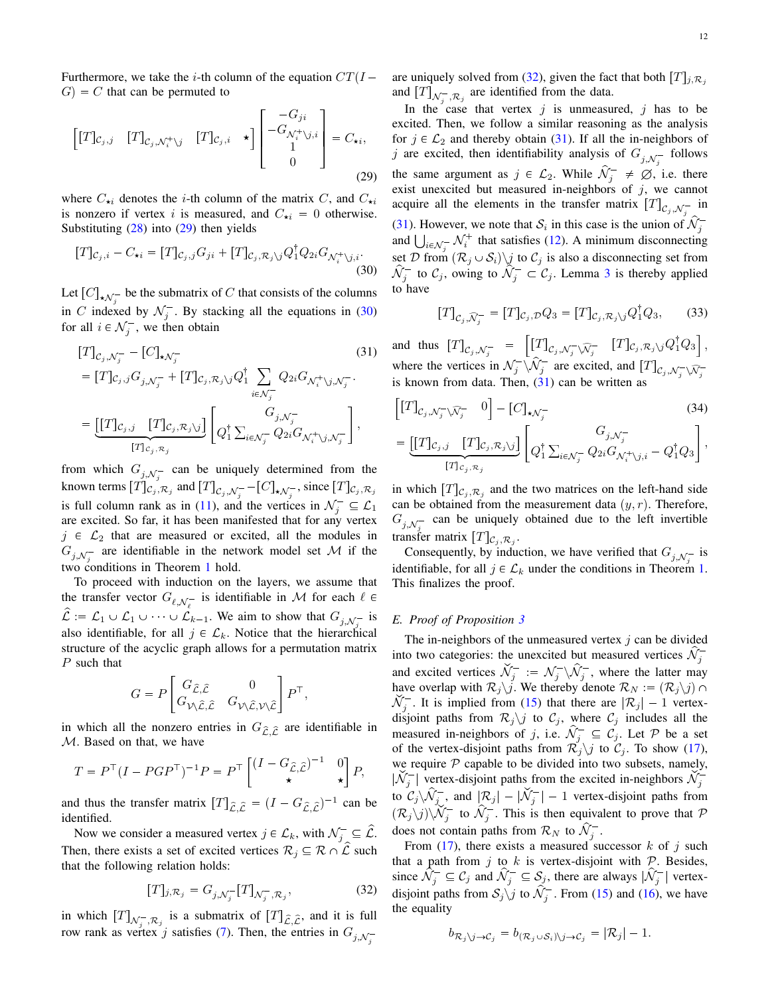Furthermore, we take the *i*-th column of the equation  $CT(I G = C$  that can be permuted to

$$
\begin{bmatrix} [T]_{C_j,j} & [T]_{C_j,\mathcal{N}_i^+\backslash j} & [T]_{C_j,i} & \star \end{bmatrix} \begin{bmatrix} -G_{ji} \\ -G_{\mathcal{N}_i^+\backslash j,i} \\ 1 \\ 0 \end{bmatrix} = C_{\star i},
$$
\n(29)

where  $C_{\star i}$  denotes the *i*-th column of the matrix C, and  $C_{\star i}$ is nonzero if vertex i is measured, and  $C_{\star i} = 0$  otherwise. Substituting  $(28)$  into  $(29)$  then yields

$$
[T]_{\mathcal{C}_j,i} - C_{\star i} = [T]_{\mathcal{C}_j,j} G_{ji} + [T]_{\mathcal{C}_j,\mathcal{R}_j\setminus j} Q_1^{\dagger} Q_{2i} G_{\mathcal{N}_i^+\setminus j,i}.
$$
\n(30)

Let  $[C]_{\star \mathcal{N}_j^-}$  be the submatrix of C that consists of the columns in C indexed by  $\mathcal{N}_j^-$ . By stacking all the equations in [\(30\)](#page-11-2) for all  $i \in \mathcal{N}_j^-$ , we then obtain

$$
[T]_{C_j, \mathcal{N}_j^-} - [C]_{\star \mathcal{N}_j^-}
$$
\n
$$
= [T]_{C_j, j} G_{j, \mathcal{N}_j^-} + [T]_{C_j, \mathcal{R}_j \setminus j} Q_1^\dagger \sum_{i \in \mathcal{N}_j^-} Q_{2i} G_{\mathcal{N}_i^+ \setminus j, \mathcal{N}_j^-}.
$$
\n
$$
= \underbrace{[[T]_{C_j, j} \quad [T]_{C_j, \mathcal{R}_j \setminus j}]}_{[T]_{C_j, \mathcal{R}_j}} \left[ Q_1^\dagger \sum_{i \in \mathcal{N}_j^-} Q_{2i} G_{\mathcal{N}_i^+ \setminus j, \mathcal{N}_j^-} \right],
$$
\n
$$
(31)
$$

from which  $G_{j,\mathcal{N}_i^-}$  can be uniquely determined from the known terms  $[T]_{C_j, \mathcal{R}_j}$  and  $[T]_{C_j, \mathcal{N}_j^-}$  -  $[C]_{\star, \mathcal{N}_j^-}$ , since  $[T]_{C_j, \mathcal{R}_j}$ is full column rank as in [\(11\)](#page-5-1), and the vertices in  $\mathcal{N}_j^- \subseteq \mathcal{L}_1$ are excited. So far, it has been manifested that for any vertex  $j \in \mathcal{L}_2$  that are measured or excited, all the modules in  $G_{j,\mathcal{N}_j^-}$  are identifiable in the network model set M if the two conditions in Theorem [1](#page-4-4) hold.

To proceed with induction on the layers, we assume that the transfer vector  $G_{\ell, \mathcal{N}_{\ell}^-}$  is identifiable in M for each  $\ell \in$  $\mathcal{L} := \mathcal{L}_1 \cup \mathcal{L}_1 \cup \cdots \cup \mathcal{L}_{k-1}$ . We aim to show that  $G_{j, \mathcal{N}_j^-}$  is also identifiable, for all  $j \in \mathcal{L}_k$ . Notice that the hierarchical structure of the acyclic graph allows for a permutation matrix P such that

$$
G=P\begin{bmatrix} G_{\hat{\mathcal{L}},\hat{\mathcal{L}}} & 0 \\ G_{\mathcal{V}\backslash \hat{\mathcal{L}},\hat{\mathcal{L}}} & G_{\mathcal{V}\backslash \hat{\mathcal{L}},\mathcal{V}\backslash \hat{\mathcal{L}}}\end{bmatrix}P^\top,
$$

in which all the nonzero entries in  $G_{\hat{\mathcal{L}}\hat{\mathcal{L}}}$  are identifiable in  $M$ . Based on that, we have

M. Based on that, we have  
\n
$$
T = P^{\top} (I - PGP^{\top})^{-1} P = P^{\top} \begin{bmatrix} (I - G_{\hat{\mathcal{L}}, \hat{\mathcal{L}}})^{-1} & 0 \\ \star & \star \end{bmatrix} P,
$$
\nand thus the transfer matrix  $[T]_{\hat{\mathcal{L}}, \hat{\mathcal{L}}} = (I - G_{\hat{\mathcal{L}}, \hat{\mathcal{L}}})^{-1}$  can be

identified.

Now we consider a measured vertex  $j \in \mathcal{L}_k$ , with  $\mathcal{N}_j^- \subseteq \hat{\mathcal{L}}$ . Then, there exists a set of excited vertices  $\mathcal{R}_i \subseteq \mathcal{R} \cap \hat{\mathcal{L}}$  such that the following relation holds:

<span id="page-11-3"></span>
$$
[T]_{j,\mathcal{R}_j} = G_{j,\mathcal{N}_j^-}[T]_{\mathcal{N}_j^-,\mathcal{R}_j},\tag{32}
$$

 $\begin{aligned} [I]_{j,\mathcal{R}_j} &= G_{j,\mathcal{N}_j^-} [I]_{\mathcal{N}_j^-,\mathcal{R}_j}, \end{aligned}$ <br>
in which  $[T]_{\mathcal{N}_j^-,\mathcal{R}_j}$  is a submatrix of  $[T]_{\hat{\mathcal{L}},\hat{\mathcal{L}}}$ , and it is full row rank as vertex j satisfies [\(7\)](#page-3-4). Then, the entries in  $G_{j,\mathcal{N}_j^-}$ 

are uniquely solved from [\(32\)](#page-11-3), given the fact that both  $[T]_{i,\mathcal{R}_i}$ and  $[T]_{\mathcal{N}_j^{-}, \mathcal{R}_j}$  are identified from the data.

<span id="page-11-1"></span>In the case that vertex  $j$  is unmeasured,  $j$  has to be excited. Then, we follow a similar reasoning as the analysis for  $j \in \mathcal{L}_2$  and thereby obtain [\(31\)](#page-11-4). If all the in-neighbors of j are excited, then identifiability analysis of  $G_{j,\mathcal{N}_j^-}$  follows the same argument as  $j \in \mathcal{L}_2$ . While  $\widehat{\mathcal{N}}_j^- \neq \emptyset$ , i.e. there exist unexcited but measured in-neighbors of  $j$ , we cannot acquire all the elements in the transfer matrix  $[T]_{C_j, \mathcal{N}_j^-}$  in [\(31\)](#page-11-4). However, we note that  $S_i$  in this case is the union of  $\hat{\mathcal{N}}_j^$ and  $\bigcup_{i \in \mathcal{N}_j^-} \mathcal{N}_i^+$  that satisfies [\(12\)](#page-5-2). A minimum disconnecting set D from  $(\mathcal{R}_j \cup \mathcal{S}_i) \setminus j$  to  $\mathcal{C}_j$  is also a disconnecting set from  $\hat{\mathcal{N}}_j^-$  to  $\mathcal{C}_j$ , owing to  $\hat{\mathcal{N}}_j^- \subset \mathcal{C}_j$ . Lemma [3](#page-10-2) is thereby applied to have

$$
[T]_{C_j, \widehat{N}_j^-} = [T]_{C_j, \mathcal{D}} Q_3 = [T]_{C_j, \mathcal{R}_j \setminus j} Q_1^{\dagger} Q_3, \qquad (33)
$$

<span id="page-11-4"></span><span id="page-11-2"></span>and thus rTs<sup>C</sup><sup>j</sup> ,<sup>N</sup> j rTs C<sup>j</sup> ,N j zNx j rTs<sup>C</sup><sup>j</sup> ,R<sup>j</sup> <sup>z</sup>jQ : <sup>1</sup>Q<sup>3</sup> , and thus  $[T]_{C_j, \mathcal{N}_j^-} = \left[ \begin{matrix} [T]_{C_j, \mathcal{N}_j^- \setminus \widehat{\mathcal{N}}_j^-} & [T]_{C_j, \mathcal{R}_j \setminus j} Q_1^1 Q_3 \end{matrix} \right],$ <br>where the vertices in  $\mathcal{N}_j^- \setminus \widehat{\mathcal{N}_j^-}$  are excited, and  $\left[ T \right]_{C_j, \mathcal{N}_j^- \setminus \widehat{\mathcal{N}_j^-}}$ 

is known from data. Then, (31) can be written as  
\n
$$
\begin{bmatrix}\n[T]_{c_j, \mathcal{N}_j^-} \widehat{\mathcal{N}_j^-} & 0\n\end{bmatrix} - [C]_{\star \mathcal{N}_j^-}
$$
\n
$$
= \underbrace{[[T]_{c_j, j} \ [T]_{c_j, \mathcal{R}_j \setminus j}]}_{[T]_{c_j, \mathcal{R}_j}}
$$
\n
$$
\left[ Q_1^\dagger \sum_{i \in \mathcal{N}_j^-} Q_{2i} G_{\mathcal{N}_i^+ \setminus j, i} - Q_1^\dagger Q_3 \right],
$$
\n(34)

in which  $[T]_{C_j, R_j}$  and the two matrices on the left-hand side can be obtained from the measurement data  $(y, r)$ . Therefore,  $G_{j,\mathcal{N}_j^-}$  can be uniquely obtained due to the left invertible transfer matrix  $[T]_{\mathcal{C}_j, \mathcal{R}_j}$ .

Consequently, by induction, we have verified that  $G_{j,\mathcal{N}_s^-}$  is identifiable, for all  $j \in \mathcal{L}_k$  under the conditions in Theorem [1.](#page-4-4) This finalizes the proof.

# <span id="page-11-0"></span>*E. Proof of Proposition [3](#page-5-10)*

The in-neighbors of the unmeasured vertex  $i$  can be divided into two categories: the unexcited but measured vertices  $\hat{\mathcal{N}}_j^$ and excited vertices  $\mathcal{N}_j^- := \mathcal{N}_j^- \backslash \mathcal{N}_j^-$ , where the latter may have overlap with  $\mathcal{R}_j \backslash j$ . We thereby denote  $\mathcal{R}_N := (\mathcal{R}_j \backslash j) \cap$  $\widetilde{\mathcal{N}}_j^-$ . It is implied from [\(15\)](#page-5-6) that there are  $|\mathcal{R}_j| - 1$  vertexdisjoint paths from  $\mathcal{R}_j \backslash j$  to  $\mathcal{C}_j$ , where  $\mathcal{C}_j$  includes all the measured in-neighbors of j, i.e.  $\mathcal{N}_j^- \subseteq \mathcal{C}_j$ . Let P be a set of the vertex-disjoint paths from  $\mathcal{R}_j \backslash j$  to  $\mathcal{C}_j$ . To show [\(17\)](#page-5-8), we require  $P$  capable to be divided into two subsets, namely,  $|\mathcal{N}_j^-|$  vertex-disjoint paths from the excited in-neighbors  $\mathcal{N}_j^$ to  $C_j \backslash \hat{\mathcal{N}}_{j_v}^-$ , and  $|\mathcal{R}_j| - |\check{\mathcal{N}}_j^-| - 1$  vertex-disjoint paths from  $(\mathcal{R}_j \setminus j) \setminus \widetilde{\mathcal{N}}_j^-$  to  $\widehat{\mathcal{N}}_j^-$ . This is then equivalent to prove that  $\mathcal P$ does not contain paths from  $\mathcal{R}_N$  to  $\hat{\mathcal{N}}_j^-$ .

From [\(17\)](#page-5-8), there exists a measured successor k of j such that a path from  $j$  to  $k$  is vertex-disjoint with  $\mathcal{P}$ . Besides, since  $\hat{\mathcal{N}}_j^- \subseteq \mathcal{C}_j$  and  $\hat{\mathcal{N}}_j^- \subseteq \mathcal{S}_j$ , there are always  $|\hat{\mathcal{N}}_j^-|$  vertexdisjoint paths from  $S_j$   $\backslash j$  to  $\hat{\mathcal{N}}_j^-$ . From [\(15\)](#page-5-6) and [\(16\)](#page-5-7), we have the equality

$$
b_{\mathcal{R}_j \setminus j \to \mathcal{C}_j} = b_{(\mathcal{R}_j \cup \mathcal{S}_i) \setminus j \to \mathcal{C}_j} = |\mathcal{R}_j| - 1.
$$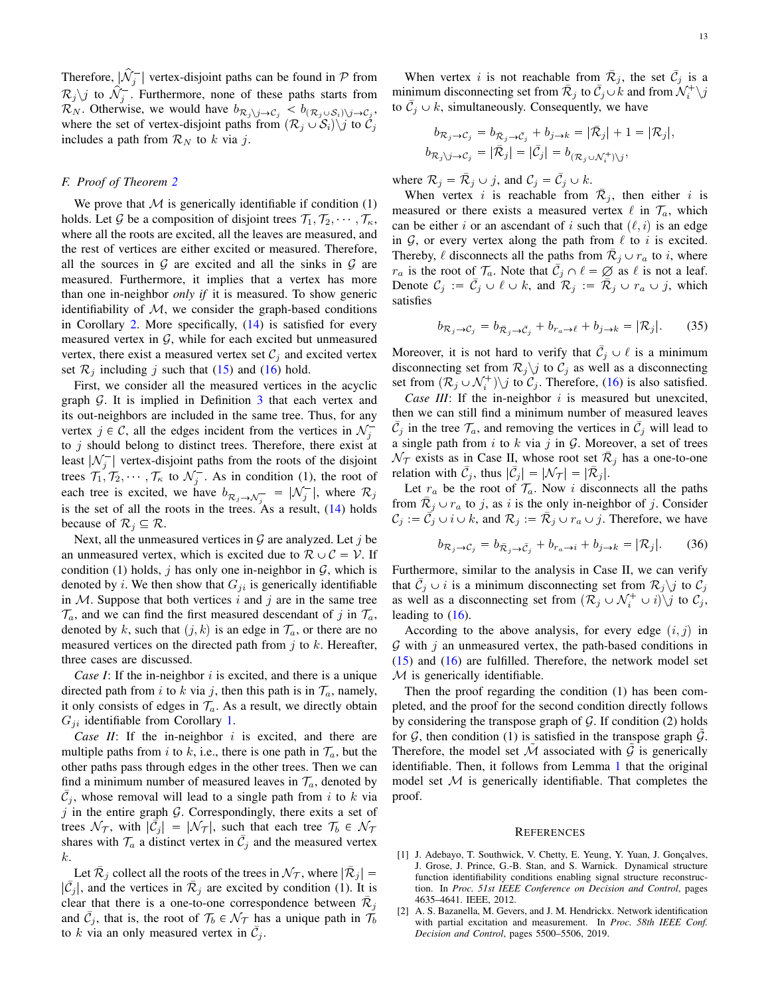Therefore,  $|\hat{\mathcal{N}}_j^-|$  vertex-disjoint paths can be found in  $\mathcal P$  from  $\mathcal{R}_j \backslash j$  to  $\hat{\mathcal{N}}_j^-$ . Furthermore, none of these paths starts from  $\mathcal{R}_N$ . Otherwise, we would have  $b_{\mathcal{R}_j \setminus j \to \mathcal{C}_j} < b_{(\mathcal{R}_j \cup \mathcal{S}_i) \setminus j \to \mathcal{C}_j}$ , where the set of vertex-disjoint paths from  $(\mathcal{R}_i \cup \mathcal{S}_i) \setminus j$  to  $\mathcal{C}_i$ includes a path from  $\mathcal{R}_N$  to k via j.

# <span id="page-12-2"></span>*F. Proof of Theorem [2](#page-7-0)*

We prove that  $M$  is generically identifiable if condition  $(1)$ holds. Let G be a composition of disjoint trees  $\mathcal{T}_1, \mathcal{T}_2, \dots, \mathcal{T}_\kappa$ , where all the roots are excited, all the leaves are measured, and the rest of vertices are either excited or measured. Therefore, all the sources in  $G$  are excited and all the sinks in  $G$  are measured. Furthermore, it implies that a vertex has more than one in-neighbor *only if* it is measured. To show generic identifiability of  $M$ , we consider the graph-based conditions in Corollary [2.](#page-5-5) More specifically,  $(14)$  is satisfied for every measured vertex in  $G$ , while for each excited but unmeasured vertex, there exist a measured vertex set  $\mathcal{C}_i$  and excited vertex set  $\mathcal{R}_j$  including j such that [\(15\)](#page-5-6) and [\(16\)](#page-5-7) hold.

First, we consider all the measured vertices in the acyclic graph  $G$ . It is implied in Definition  $3$  that each vertex and its out-neighbors are included in the same tree. Thus, for any vertex  $j \in \mathcal{C}$ , all the edges incident from the vertices in  $\mathcal{N}_j^$ to  $j$  should belong to distinct trees. Therefore, there exist at least  $|\mathcal{N}_j^-|$  vertex-disjoint paths from the roots of the disjoint trees  $\mathcal{T}_1, \mathcal{T}_2, \cdots, \mathcal{T}_\kappa$  to  $\mathcal{N}_j^-$ . As in condition (1), the root of each tree is excited, we have  $b_{\mathcal{R}_j \to \mathcal{N}_j^-} = |\mathcal{N}_j^-|$ , where  $\mathcal{R}_j$ is the set of all the roots in the trees. As a result,  $(14)$  holds because of  $\mathcal{R}_j \subseteq \mathcal{R}$ .

Next, all the unmeasured vertices in  $G$  are analyzed. Let j be an unmeasured vertex, which is excited due to  $\mathcal{R} \cup \mathcal{C} = \mathcal{V}$ . If condition (1) holds, j has only one in-neighbor in  $G$ , which is denoted by *i*. We then show that  $G_{ji}$  is generically identifiable in  $M$ . Suppose that both vertices i and j are in the same tree  $\mathcal{T}_a$ , and we can find the first measured descendant of j in  $\mathcal{T}_a$ , denoted by k, such that  $(j, k)$  is an edge in  $\mathcal{T}_a$ , or there are no measured vertices on the directed path from  $j$  to  $k$ . Hereafter, three cases are discussed.

*Case I*: If the in-neighbor  $i$  is excited, and there is a unique directed path from i to k via j, then this path is in  $\mathcal{T}_a$ , namely, it only consists of edges in  $\mathcal{T}_a$ . As a result, we directly obtain  $G_{ji}$  identifiable from Corollary [1.](#page-4-2)

*Case II*: If the in-neighbor  $i$  is excited, and there are multiple paths from i to k, i.e., there is one path in  $\mathcal{T}_a$ , but the other paths pass through edges in the other trees. Then we can find a minimum number of measured leaves in  $\mathcal{T}_a$ , denoted by  $\overline{C}_j$ , whose removal will lead to a single path from i to k via  $j$  in the entire graph  $\mathcal G$ . Correspondingly, there exits a set of trees  $\mathcal{N}_{\mathcal{T}}$ , with  $|\mathcal{\vec{C}}_j| = |\mathcal{N}_{\mathcal{T}}|$ , such that each tree  $\mathcal{T}_b \in \mathcal{N}_{\mathcal{T}}$ shares with  $\mathcal{T}_a$  a distinct vertex in  $\overline{\mathcal{C}}_j$  and the measured vertex k.

Let  $\bar{\mathcal{R}}_j$  collect all the roots of the trees in  $\mathcal{N}_{\mathcal{T}}$ , where  $|\bar{\mathcal{R}}_j|$  =  $|\bar{C}_j|$ , and the vertices in  $\bar{\mathcal{R}}_j$  are excited by condition (1). It is clear that there is a one-to-one correspondence between  $\bar{\mathcal{R}}_j$ and  $\bar{C}_j$ , that is, the root of  $\mathcal{T}_b \in \mathcal{N}_{\mathcal{T}}$  has a unique path in  $\tilde{\mathcal{T}}_b$ to k via an only measured vertex in  $\bar{C}_j$ .

When vertex i is not reachable from  $\overline{\mathcal{R}}_j$ , the set  $\overline{\mathcal{C}}_j$  is a minimum disconnecting set from  $\overline{\mathcal{R}}_j$  to  $\overline{\mathcal{C}}_j \cup \overline{k}$  and from  $\mathcal{N}_i^+ \setminus j$ to  $\bar{C}_j \cup k$ , simultaneously. Consequently, we have

$$
b_{\mathcal{R}_j \to \mathcal{C}_j} = b_{\bar{\mathcal{R}}_j \to \bar{\mathcal{C}}_j} + b_{j \to k} = |\bar{\mathcal{R}}_j| + 1 = |\mathcal{R}_j|,
$$
  

$$
b_{\mathcal{R}_j \setminus j \to \mathcal{C}_j} = |\bar{\mathcal{R}}_j| = |\bar{\mathcal{C}}_j| = b_{(\mathcal{R}_j \cup \mathcal{N}_i^+) \setminus j},
$$

where  $\mathcal{R}_j = \overline{\mathcal{R}}_j \cup j$ , and  $\mathcal{C}_j = \overline{\mathcal{C}}_j \cup k$ .

When vertex i is reachable from  $\overline{\mathcal{R}}_j$ , then either i is measured or there exists a measured vertex  $\ell$  in  $\mathcal{T}_a$ , which can be either i or an ascendant of i such that  $(\ell, i)$  is an edge in  $G$ , or every vertex along the path from  $\ell$  to i is excited. Thereby,  $\ell$  disconnects all the paths from  $\overline{R}_j \cup r_a$  to *i*, where  $r_a$  is the root of  $\mathcal{T}_a$ . Note that  $\overline{\mathcal{C}}_j \cap \ell = \emptyset$  as  $\ell$  is not a leaf. Denote  $\mathcal{C}_j := \bar{\mathcal{C}}_j \cup \ell \cup k$ , and  $\mathcal{R}_j := \bar{\mathcal{R}}_j \cup r_a \cup j$ , which satisfies

$$
b_{\mathcal{R}_j \to \mathcal{C}_j} = b_{\bar{\mathcal{R}}_j \to \bar{\mathcal{C}}_j} + b_{r_a \to \ell} + b_{j \to k} = |\mathcal{R}_j|. \tag{35}
$$

Moreover, it is not hard to verify that  $\overline{C}_j \cup \ell$  is a minimum disconnecting set from  $\mathcal{R}_j$  is to  $\mathcal{C}_j$  as well as a disconnecting set from  $(\mathcal{R}_j \cup \mathcal{N}_i^+) \setminus j$  to  $\mathcal{C}_j$ . Therefore, [\(16\)](#page-5-7) is also satisfied.

*Case III*: If the in-neighbor  $i$  is measured but unexcited, then we can still find a minimum number of measured leaves  $\bar{\mathcal{C}}_j$  in the tree  $\mathcal{T}_a$ , and removing the vertices in  $\bar{\mathcal{C}}_j$  will lead to a single path from  $i$  to  $k$  via  $j$  in  $\mathcal{G}$ . Moreover, a set of trees  $\mathcal{N}_{\mathcal{T}}$  exists as in Case II, whose root set  $\bar{\mathcal{R}}_j$  has a one-to-one relation with  $\bar{C}_j$ , thus  $|\bar{C}_j| = |\mathcal{N}_{\mathcal{T}}| = |\bar{\mathcal{R}}_j|$ .

Let  $r_a$  be the root of  $\mathcal{T}_a$ . Now i disconnects all the paths from  $\overline{\mathcal{R}}_j \cup r_a$  to j, as i is the only in-neighbor of j. Consider  $\mathcal{C}_j := \vec{\mathcal{C}}_j \cup i \cup k$ , and  $\mathcal{R}_j := \bar{\mathcal{R}}_j \cup r_a \cup j$ . Therefore, we have

$$
b_{\mathcal{R}_j \to \mathcal{C}_j} = b_{\bar{\mathcal{R}}_j \to \bar{\mathcal{C}}_j} + b_{r_a \to i} + b_{j \to k} = |\mathcal{R}_j|.
$$
 (36)

Furthermore, similar to the analysis in Case II, we can verify that  $\bar{C}_j \cup i$  is a minimum disconnecting set from  $\mathcal{R}_j \setminus j$  to  $\bar{C}_j$ as well as a disconnecting set from  $(\mathcal{R}_j \cup \mathcal{N}_i^+ \cup i)\backslash j$  to  $\mathcal{C}_j$ , leading to  $(16)$ .

According to the above analysis, for every edge  $(i, j)$  in  $G$  with  $j$  an unmeasured vertex, the path-based conditions in [\(15\)](#page-5-6) and [\(16\)](#page-5-7) are fulfilled. Therefore, the network model set  $M$  is generically identifiable.

Then the proof regarding the condition (1) has been completed, and the proof for the second condition directly follows by considering the transpose graph of  $G$ . If condition (2) holds for  $G$ , then condition (1) is satisfied in the transpose graph  $G$ . Therefore, the model set  $M$  associated with  $G$  is generically identifiable. Then, it follows from Lemma [1](#page-2-5) that the original model set  $M$  is generically identifiable. That completes the proof.

#### **REFERENCES**

- <span id="page-12-0"></span>[1] J. Adebayo, T. Southwick, V. Chetty, E. Yeung, Y. Yuan, J. Gonçalves, J. Grose, J. Prince, G.-B. Stan, and S. Warnick. Dynamical structure function identifiability conditions enabling signal structure reconstruction. In *Proc. 51st IEEE Conference on Decision and Control*, pages 4635–4641. IEEE, 2012.
- <span id="page-12-1"></span>[2] A. S. Bazanella, M. Gevers, and J. M. Hendrickx. Network identification with partial excitation and measurement. In *Proc. 58th IEEE Conf. Decision and Control*, pages 5500–5506, 2019.